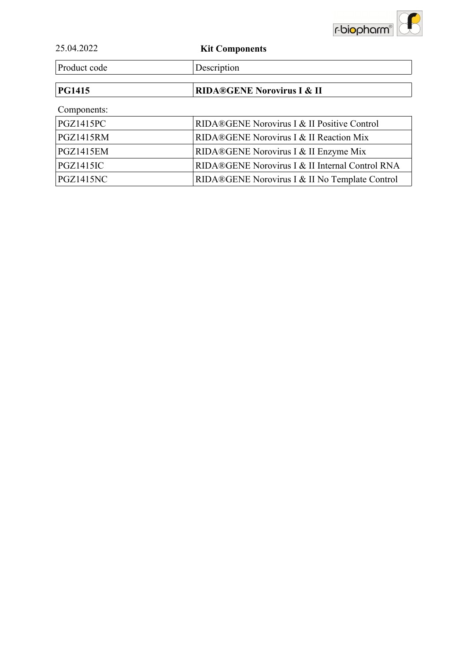

| 25.04.2022 | <b>Kit Components</b> |
|------------|-----------------------|

Product code Description

## **PG1415** RIDA®GENE Norovirus I & II

### Components:

| PGZ1415PC | <b>RIDA®GENE Norovirus I &amp; II Positive Control</b> |
|-----------|--------------------------------------------------------|
| PGZ1415RM | <b>RIDA®GENE Norovirus I &amp; II Reaction Mix</b>     |
| PGZ1415EM | RIDA®GENE Norovirus I & II Enzyme Mix                  |
| PGZ1415IC | RIDA®GENE Norovirus I & II Internal Control RNA        |
| PGZ1415NC | RIDA®GENE Norovirus I & II No Template Control         |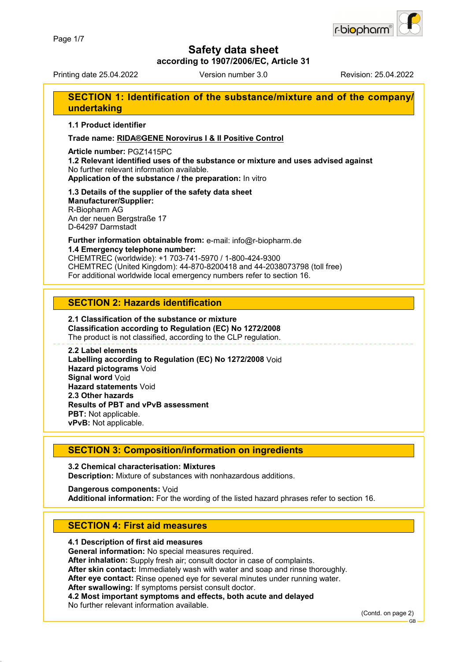

**according to 1907/2006/EC, Article 31**

Printing date 25.04.2022 Version number 3.0 Revision: 25.04.2022

### **SECTION 1: Identification of the substance/mixture and of the company/ undertaking**

**1.1 Product identifier**

**Trade name: RIDA®GENE Norovirus I & II Positive Control**

**Article number:** PGZ1415PC

**1.2 Relevant identified uses of the substance or mixture and uses advised against** No further relevant information available. **Application of the substance / the preparation:** In vitro

#### **1.3 Details of the supplier of the safety data sheet Manufacturer/Supplier:** R-Biopharm AG

An der neuen Bergstraße 17 D-64297 Darmstadt

**Further information obtainable from:** e-mail: info@r-biopharm.de **1.4 Emergency telephone number:**

CHEMTREC (worldwide): +1 703-741-5970 / 1-800-424-9300 CHEMTREC (United Kingdom): 44-870-8200418 and 44-2038073798 (toll free) For additional worldwide local emergency numbers refer to section 16.

### **SECTION 2: Hazards identification**

#### **2.1 Classification of the substance or mixture Classification according to Regulation (EC) No 1272/2008** The product is not classified, according to the CLP regulation.

**2.2 Label elements Labelling according to Regulation (EC) No 1272/2008** Void **Hazard pictograms** Void **Signal word** Void **Hazard statements** Void **2.3 Other hazards Results of PBT and vPvB assessment PBT:** Not applicable. **vPvB:** Not applicable.

### **SECTION 3: Composition/information on ingredients**

**3.2 Chemical characterisation: Mixtures Description:** Mixture of substances with nonhazardous additions.

**Dangerous components:** Void **Additional information:** For the wording of the listed hazard phrases refer to section 16.

### **SECTION 4: First aid measures**

### **4.1 Description of first aid measures**

**General information:** No special measures required.

**After inhalation:** Supply fresh air; consult doctor in case of complaints.

**After skin contact:** Immediately wash with water and soap and rinse thoroughly.

**After eye contact:** Rinse opened eye for several minutes under running water.

**After swallowing:** If symptoms persist consult doctor.

**4.2 Most important symptoms and effects, both acute and delayed**

No further relevant information available.

(Contd. on page 2)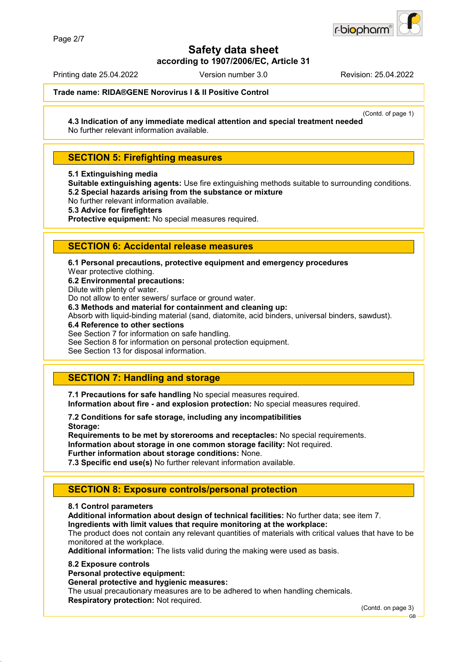

**according to 1907/2006/EC, Article 31**

Printing date 25.04.2022 Version number 3.0 Revision: 25.04.2022

#### **Trade name: RIDA®GENE Norovirus I & II Positive Control**

(Contd. of page 1)

**4.3 Indication of any immediate medical attention and special treatment needed** No further relevant information available.

### **SECTION 5: Firefighting measures**

**5.1 Extinguishing media**

**Suitable extinguishing agents:** Use fire extinguishing methods suitable to surrounding conditions. **5.2 Special hazards arising from the substance or mixture**

No further relevant information available.

**5.3 Advice for firefighters**

**Protective equipment:** No special measures required.

### **SECTION 6: Accidental release measures**

**6.1 Personal precautions, protective equipment and emergency procedures**

Wear protective clothing.

**6.2 Environmental precautions:**

Dilute with plenty of water.

Do not allow to enter sewers/ surface or ground water.

**6.3 Methods and material for containment and cleaning up:**

Absorb with liquid-binding material (sand, diatomite, acid binders, universal binders, sawdust).

**6.4 Reference to other sections**

See Section 7 for information on safe handling.

See Section 8 for information on personal protection equipment.

See Section 13 for disposal information.

### **SECTION 7: Handling and storage**

**7.1 Precautions for safe handling** No special measures required. **Information about fire - and explosion protection:** No special measures required.

**7.2 Conditions for safe storage, including any incompatibilities Storage:**

**Requirements to be met by storerooms and receptacles:** No special requirements. **Information about storage in one common storage facility:** Not required. **Further information about storage conditions:** None.

**7.3 Specific end use(s)** No further relevant information available.

### **SECTION 8: Exposure controls/personal protection**

#### **8.1 Control parameters**

**Additional information about design of technical facilities:** No further data; see item 7.

**Ingredients with limit values that require monitoring at the workplace:**

The product does not contain any relevant quantities of materials with critical values that have to be monitored at the workplace.

**Additional information:** The lists valid during the making were used as basis.

#### **8.2 Exposure controls**

**Personal protective equipment:**

**General protective and hygienic measures:**

The usual precautionary measures are to be adhered to when handling chemicals. **Respiratory protection:** Not required.

(Contd. on page 3)

GB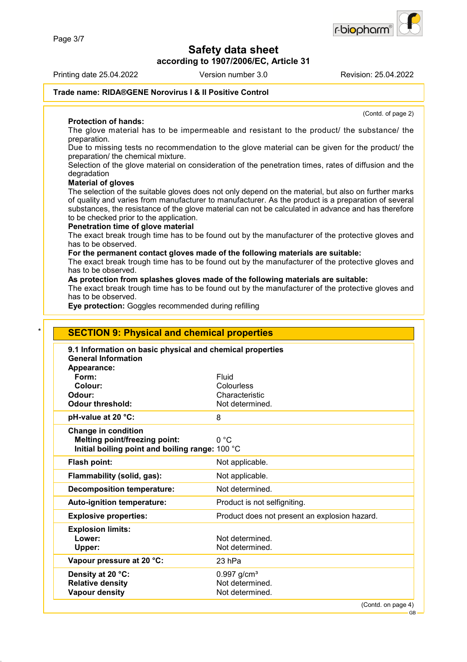**according to 1907/2006/EC, Article 31**

Printing date 25.04.2022 Version number 3.0 Revision: 25.04.2022

#### **Trade name: RIDA®GENE Norovirus I & II Positive Control**

#### **Protection of hands:**

The glove material has to be impermeable and resistant to the product/ the substance/ the preparation.

Due to missing tests no recommendation to the glove material can be given for the product/ the preparation/ the chemical mixture.

Selection of the glove material on consideration of the penetration times, rates of diffusion and the degradation

#### **Material of gloves**

The selection of the suitable gloves does not only depend on the material, but also on further marks of quality and varies from manufacturer to manufacturer. As the product is a preparation of several substances, the resistance of the glove material can not be calculated in advance and has therefore to be checked prior to the application.

#### **Penetration time of glove material**

The exact break trough time has to be found out by the manufacturer of the protective gloves and has to be observed.

#### **For the permanent contact gloves made of the following materials are suitable:**

The exact break trough time has to be found out by the manufacturer of the protective gloves and has to be observed.

#### **As protection from splashes gloves made of the following materials are suitable:**

The exact break trough time has to be found out by the manufacturer of the protective gloves and has to be observed.

**Eye protection:** Goggles recommended during refilling

| 9.1 Information on basic physical and chemical properties |                                               |
|-----------------------------------------------------------|-----------------------------------------------|
| <b>General Information</b>                                |                                               |
| Appearance:                                               |                                               |
| Form:                                                     | Fluid                                         |
| Colour:                                                   | Colourless                                    |
| Odour:<br><b>Odour threshold:</b>                         | Characteristic<br>Not determined.             |
|                                                           |                                               |
| pH-value at 20 °C:                                        | 8                                             |
| <b>Change in condition</b>                                |                                               |
| Melting point/freezing point:                             | 0 °C                                          |
| Initial boiling point and boiling range: 100 °C           |                                               |
| Flash point:                                              | Not applicable.                               |
| Flammability (solid, gas):                                | Not applicable.                               |
| <b>Decomposition temperature:</b>                         | Not determined.                               |
| Auto-ignition temperature:                                | Product is not selfigniting.                  |
| <b>Explosive properties:</b>                              | Product does not present an explosion hazard. |
| <b>Explosion limits:</b>                                  |                                               |
| Lower:                                                    | Not determined.                               |
| Upper:                                                    | Not determined.                               |
| Vapour pressure at 20 °C:                                 | 23 hPa                                        |
| Density at 20 °C:                                         | $0.997$ g/cm <sup>3</sup>                     |
| <b>Relative density</b>                                   | Not determined.                               |



(Contd. of page 2)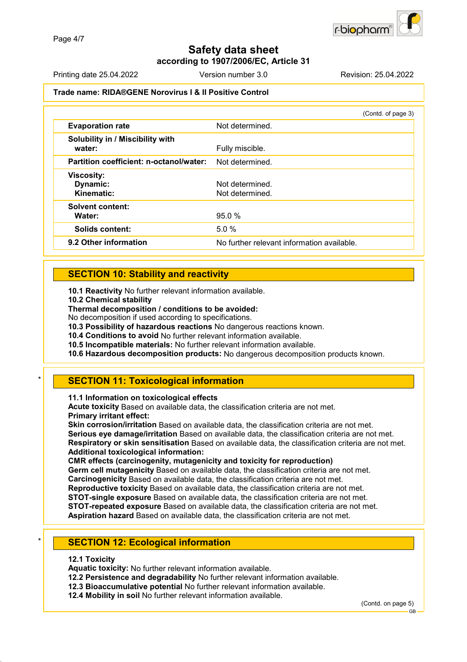**according to 1907/2006/EC, Article 31**

Printing date 25.04.2022 Version number 3.0 Revision: 25.04.2022

#### **Trade name: RIDA®GENE Norovirus I & II Positive Control**

|                                             | (Contd. of page 3)                         |
|---------------------------------------------|--------------------------------------------|
| <b>Evaporation rate</b>                     | Not determined.                            |
| Solubility in / Miscibility with<br>water:  | Fully miscible.                            |
| Partition coefficient: n-octanol/water:     | Not determined.                            |
| <b>Viscosity:</b><br>Dynamic:<br>Kinematic: | Not determined.<br>Not determined.         |
| Solvent content:<br>Water:                  | 95.0%                                      |
| Solids content:                             | 5.0%                                       |
| 9.2 Other information                       | No further relevant information available. |

### **SECTION 10: Stability and reactivity**

**10.1 Reactivity** No further relevant information available.

**10.2 Chemical stability**

**Thermal decomposition / conditions to be avoided:**

No decomposition if used according to specifications.

**10.3 Possibility of hazardous reactions** No dangerous reactions known.

**10.4 Conditions to avoid** No further relevant information available.

**10.5 Incompatible materials:** No further relevant information available.

**10.6 Hazardous decomposition products:** No dangerous decomposition products known.

### **SECTION 11: Toxicological information**

**11.1 Information on toxicological effects**

**Acute toxicity** Based on available data, the classification criteria are not met. **Primary irritant effect:**

**Skin corrosion/irritation** Based on available data, the classification criteria are not met. **Serious eye damage/irritation** Based on available data, the classification criteria are not met. **Respiratory or skin sensitisation** Based on available data, the classification criteria are not met. **Additional toxicological information:**

**CMR effects (carcinogenity, mutagenicity and toxicity for reproduction)**

**Germ cell mutagenicity** Based on available data, the classification criteria are not met.

**Carcinogenicity** Based on available data, the classification criteria are not met.

**Reproductive toxicity** Based on available data, the classification criteria are not met.

**STOT-single exposure** Based on available data, the classification criteria are not met. **STOT-repeated exposure** Based on available data, the classification criteria are not met.

**Aspiration hazard** Based on available data, the classification criteria are not met.

### **SECTION 12: Ecological information**

#### **12.1 Toxicity**

**Aquatic toxicity:** No further relevant information available.

**12.2 Persistence and degradability** No further relevant information available.

**12.3 Bioaccumulative potential** No further relevant information available.

**12.4 Mobility in soil** No further relevant information available.

(Contd. on page 5)

GB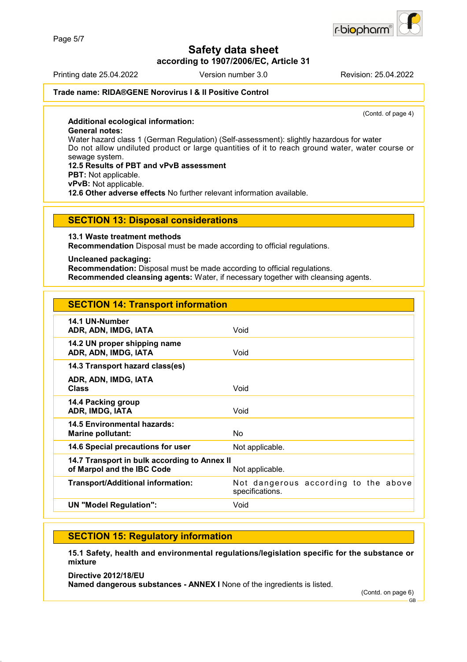**according to 1907/2006/EC, Article 31**

Printing date 25.04.2022 Version number 3.0 Revision: 25.04.2022

#### **Trade name: RIDA®GENE Norovirus I & II Positive Control**

(Contd. of page 4)

**Additional ecological information: General notes:** Water hazard class 1 (German Regulation) (Self-assessment): slightly hazardous for water Do not allow undiluted product or large quantities of it to reach ground water, water course or sewage system. **12.5 Results of PBT and vPvB assessment PBT:** Not applicable. **vPvB:** Not applicable. **12.6 Other adverse effects** No further relevant information available.

#### **SECTION 13: Disposal considerations**

**13.1 Waste treatment methods**

**Recommendation** Disposal must be made according to official regulations.

#### **Uncleaned packaging:**

**Recommendation:** Disposal must be made according to official regulations. **Recommended cleansing agents:** Water, if necessary together with cleansing agents.

| <b>SECTION 14: Transport information</b>                                   |                                                         |
|----------------------------------------------------------------------------|---------------------------------------------------------|
| 14.1 UN-Number<br>ADR, ADN, IMDG, IATA                                     | Void                                                    |
| 14.2 UN proper shipping name<br>ADR, ADN, IMDG, IATA                       | Void                                                    |
| 14.3 Transport hazard class(es)                                            |                                                         |
| ADR, ADN, IMDG, IATA<br><b>Class</b>                                       | Void                                                    |
| 14.4 Packing group<br>ADR, IMDG, IATA                                      | Void                                                    |
| 14.5 Environmental hazards:<br><b>Marine pollutant:</b>                    | No.                                                     |
| 14.6 Special precautions for user                                          | Not applicable.                                         |
| 14.7 Transport in bulk according to Annex II<br>of Marpol and the IBC Code | Not applicable.                                         |
| <b>Transport/Additional information:</b>                                   | Not dangerous according to the above<br>specifications. |
| <b>UN "Model Regulation":</b>                                              | Void                                                    |

### **SECTION 15: Regulatory information**

**15.1 Safety, health and environmental regulations/legislation specific for the substance or mixture**

**Directive 2012/18/EU**

**Named dangerous substances - ANNEX I** None of the ingredients is listed.

(Contd. on page 6) GB



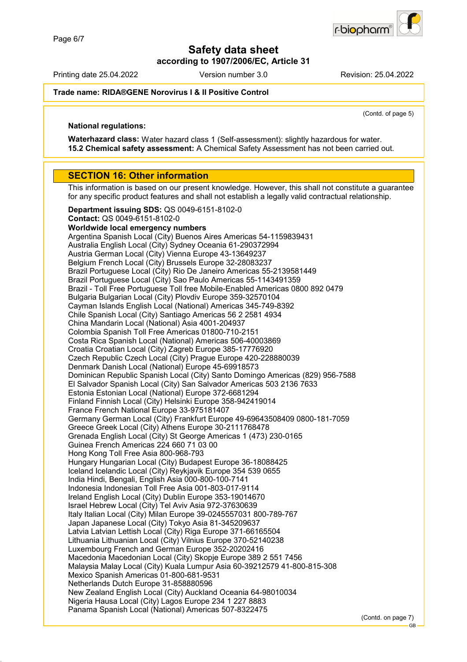**according to 1907/2006/EC, Article 31**

Printing date 25.04.2022 Version number 3.0 Revision: 25.04.2022

r-biopharr

#### **Trade name: RIDA®GENE Norovirus I & II Positive Control**

(Contd. of page 5)

#### **National regulations:**

**Waterhazard class:** Water hazard class 1 (Self-assessment): slightly hazardous for water. **15.2 Chemical safety assessment:** A Chemical Safety Assessment has not been carried out.

#### **SECTION 16: Other information**

This information is based on our present knowledge. However, this shall not constitute a guarantee for any specific product features and shall not establish a legally valid contractual relationship.

**Department issuing SDS:** QS 0049-6151-8102-0 **Contact:** QS 0049-6151-8102-0 **Worldwide local emergency numbers** Argentina Spanish Local (City) Buenos Aires Americas 54-1159839431 Australia English Local (City) Sydney Oceania 61-290372994 Austria German Local (City) Vienna Europe 43-13649237 Belgium French Local (City) Brussels Europe 32-28083237 Brazil Portuguese Local (City) Rio De Janeiro Americas 55-2139581449 Brazil Portuguese Local (City) Sao Paulo Americas 55-1143491359 Brazil - Toll Free Portuguese Toll free Mobile-Enabled Americas 0800 892 0479 Bulgaria Bulgarian Local (City) Plovdiv Europe 359-32570104 Cayman Islands English Local (National) Americas 345-749-8392 Chile Spanish Local (City) Santiago Americas 56 2 2581 4934 China Mandarin Local (National) Asia 4001-204937 Colombia Spanish Toll Free Americas 01800-710-2151 Costa Rica Spanish Local (National) Americas 506-40003869 Croatia Croatian Local (City) Zagreb Europe 385-17776920 Czech Republic Czech Local (City) Prague Europe 420-228880039 Denmark Danish Local (National) Europe 45-69918573 Dominican Republic Spanish Local (City) Santo Domingo Americas (829) 956-7588 El Salvador Spanish Local (City) San Salvador Americas 503 2136 7633 Estonia Estonian Local (National) Europe 372-6681294 Finland Finnish Local (City) Helsinki Europe 358-942419014 France French National Europe 33-975181407 Germany German Local (City) Frankfurt Europe 49-69643508409 0800-181-7059 Greece Greek Local (City) Athens Europe 30-2111768478 Grenada English Local (City) St George Americas 1 (473) 230-0165 Guinea French Americas 224 660 71 03 00 Hong Kong Toll Free Asia 800-968-793 Hungary Hungarian Local (City) Budapest Europe 36-18088425 Iceland Icelandic Local (City) Reykjavik Europe 354 539 0655 India Hindi, Bengali, English Asia 000-800-100-7141 Indonesia Indonesian Toll Free Asia 001-803-017-9114 Ireland English Local (City) Dublin Europe 353-19014670 Israel Hebrew Local (City) Tel Aviv Asia 972-37630639 Italy Italian Local (City) Milan Europe 39-0245557031 800-789-767 Japan Japanese Local (City) Tokyo Asia 81-345209637 Latvia Latvian Lettish Local (City) Riga Europe 371-66165504 Lithuania Lithuanian Local (City) Vilnius Europe 370-52140238 Luxembourg French and German Europe 352-20202416 Macedonia Macedonian Local (City) Skopje Europe 389 2 551 7456 Malaysia Malay Local (City) Kuala Lumpur Asia 60-39212579 41-800-815-308 Mexico Spanish Americas 01-800-681-9531 Netherlands Dutch Europe 31-858880596 New Zealand English Local (City) Auckland Oceania 64-98010034 Nigeria Hausa Local (City) Lagos Europe 234 1 227 8883 Panama Spanish Local (National) Americas 507-8322475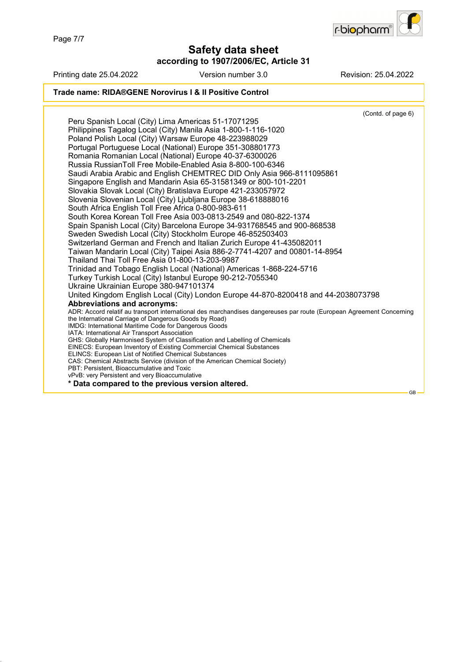Page 7/7

**Safety data sheet**

**according to 1907/2006/EC, Article 31**



GB

Printing date 25.04.2022 Version number 3.0 Revision: 25.04.2022 **Trade name: RIDA®GENE Norovirus I & II Positive Control** (Contd. of page 6) Peru Spanish Local (City) Lima Americas 51-17071295 Philippines Tagalog Local (City) Manila Asia 1-800-1-116-1020 Poland Polish Local (City) Warsaw Europe 48-223988029 Portugal Portuguese Local (National) Europe 351-308801773 Romania Romanian Local (National) Europe 40-37-6300026 Russia RussianToll Free Mobile-Enabled Asia 8-800-100-6346 Saudi Arabia Arabic and English CHEMTREC DID Only Asia 966-8111095861 Singapore English and Mandarin Asia 65-31581349 or 800-101-2201 Slovakia Slovak Local (City) Bratislava Europe 421-233057972 Slovenia Slovenian Local (City) Ljubljana Europe 38-618888016 South Africa English Toll Free Africa 0-800-983-611 South Korea Korean Toll Free Asia 003-0813-2549 and 080-822-1374 Spain Spanish Local (City) Barcelona Europe 34-931768545 and 900-868538 Sweden Swedish Local (City) Stockholm Europe 46-852503403 Switzerland German and French and Italian Zurich Europe 41-435082011 Taiwan Mandarin Local (City) Taipei Asia 886-2-7741-4207 and 00801-14-8954 Thailand Thai Toll Free Asia 01-800-13-203-9987 Trinidad and Tobago English Local (National) Americas 1-868-224-5716 Turkey Turkish Local (City) Istanbul Europe 90-212-7055340 Ukraine Ukrainian Europe 380-947101374 United Kingdom English Local (City) London Europe 44-870-8200418 and 44-2038073798 **Abbreviations and acronyms:** ADR: Accord relatif au transport international des marchandises dangereuses par route (European Agreement Concerning the International Carriage of Dangerous Goods by Road) IMDG: International Maritime Code for Dangerous Goods IATA: International Air Transport Association GHS: Globally Harmonised System of Classification and Labelling of Chemicals EINECS: European Inventory of Existing Commercial Chemical Substances ELINCS: European List of Notified Chemical Substances CAS: Chemical Abstracts Service (division of the American Chemical Society) PBT: Persistent, Bioaccumulative and Toxic vPvB: very Persistent and very Bioaccumulative **\* Data compared to the previous version altered.**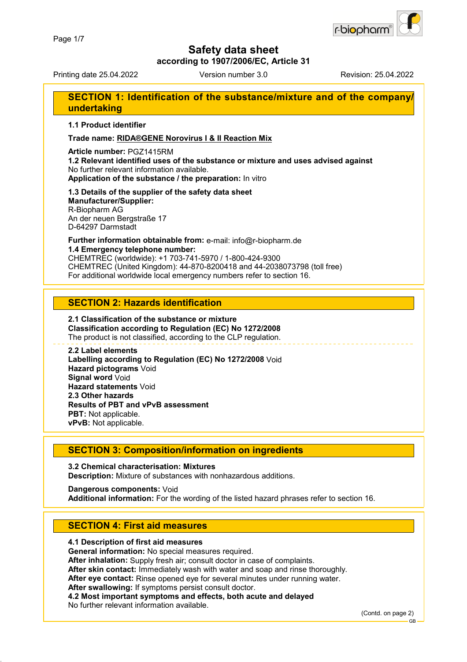

**according to 1907/2006/EC, Article 31**

Printing date 25.04.2022 Version number 3.0 Revision: 25.04.2022

### **SECTION 1: Identification of the substance/mixture and of the company/ undertaking**

**1.1 Product identifier**

**Trade name: RIDA®GENE Norovirus I & II Reaction Mix**

**Article number:** PGZ1415RM

**1.2 Relevant identified uses of the substance or mixture and uses advised against** No further relevant information available. **Application of the substance / the preparation:** In vitro

#### **1.3 Details of the supplier of the safety data sheet Manufacturer/Supplier:** R-Biopharm AG

An der neuen Bergstraße 17 D-64297 Darmstadt

**Further information obtainable from:** e-mail: info@r-biopharm.de **1.4 Emergency telephone number:**

CHEMTREC (worldwide): +1 703-741-5970 / 1-800-424-9300 CHEMTREC (United Kingdom): 44-870-8200418 and 44-2038073798 (toll free) For additional worldwide local emergency numbers refer to section 16.

### **SECTION 2: Hazards identification**

#### **2.1 Classification of the substance or mixture Classification according to Regulation (EC) No 1272/2008** The product is not classified, according to the CLP regulation.

**2.2 Label elements Labelling according to Regulation (EC) No 1272/2008** Void **Hazard pictograms** Void **Signal word** Void **Hazard statements** Void **2.3 Other hazards Results of PBT and vPvB assessment PBT:** Not applicable. **vPvB:** Not applicable.

### **SECTION 3: Composition/information on ingredients**

**3.2 Chemical characterisation: Mixtures Description:** Mixture of substances with nonhazardous additions.

**Dangerous components:** Void **Additional information:** For the wording of the listed hazard phrases refer to section 16.

### **SECTION 4: First aid measures**

#### **4.1 Description of first aid measures**

**General information:** No special measures required.

**After inhalation:** Supply fresh air; consult doctor in case of complaints.

**After skin contact:** Immediately wash with water and soap and rinse thoroughly.

**After eye contact:** Rinse opened eye for several minutes under running water.

**After swallowing:** If symptoms persist consult doctor.

**4.2 Most important symptoms and effects, both acute and delayed**

No further relevant information available.

(Contd. on page 2)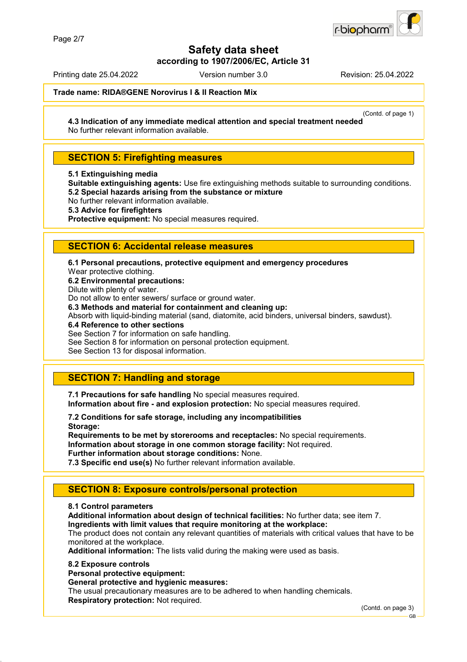

**according to 1907/2006/EC, Article 31**

Printing date 25.04.2022 Version number 3.0 Revision: 25.04.2022

**Trade name: RIDA®GENE Norovirus I & II Reaction Mix**

(Contd. of page 1)

**4.3 Indication of any immediate medical attention and special treatment needed** No further relevant information available.

### **SECTION 5: Firefighting measures**

**5.1 Extinguishing media**

**Suitable extinguishing agents:** Use fire extinguishing methods suitable to surrounding conditions. **5.2 Special hazards arising from the substance or mixture**

No further relevant information available.

**5.3 Advice for firefighters**

**Protective equipment:** No special measures required.

### **SECTION 6: Accidental release measures**

**6.1 Personal precautions, protective equipment and emergency procedures**

Wear protective clothing.

**6.2 Environmental precautions:**

Dilute with plenty of water.

Do not allow to enter sewers/ surface or ground water.

**6.3 Methods and material for containment and cleaning up:**

Absorb with liquid-binding material (sand, diatomite, acid binders, universal binders, sawdust).

**6.4 Reference to other sections**

See Section 7 for information on safe handling.

See Section 8 for information on personal protection equipment.

See Section 13 for disposal information.

### **SECTION 7: Handling and storage**

**7.1 Precautions for safe handling** No special measures required. **Information about fire - and explosion protection:** No special measures required.

**7.2 Conditions for safe storage, including any incompatibilities Storage:**

**Requirements to be met by storerooms and receptacles:** No special requirements. **Information about storage in one common storage facility:** Not required. **Further information about storage conditions:** None.

**7.3 Specific end use(s)** No further relevant information available.

### **SECTION 8: Exposure controls/personal protection**

#### **8.1 Control parameters**

**Additional information about design of technical facilities:** No further data; see item 7.

**Ingredients with limit values that require monitoring at the workplace:**

The product does not contain any relevant quantities of materials with critical values that have to be monitored at the workplace.

**Additional information:** The lists valid during the making were used as basis.

#### **8.2 Exposure controls**

**Personal protective equipment:**

**General protective and hygienic measures:**

The usual precautionary measures are to be adhered to when handling chemicals. **Respiratory protection:** Not required.

(Contd. on page 3)

GB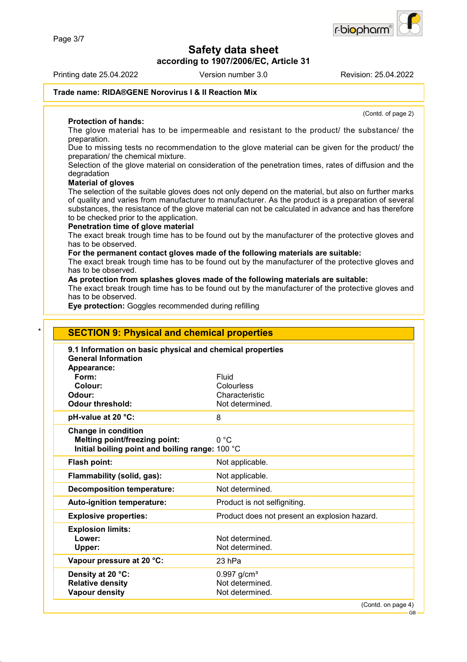**according to 1907/2006/EC, Article 31**

Printing date 25.04.2022 Version number 3.0 Revision: 25.04.2022

(Contd. of page 2)

#### **Trade name: RIDA®GENE Norovirus I & II Reaction Mix**

#### **Protection of hands:**

The glove material has to be impermeable and resistant to the product/ the substance/ the preparation.

Due to missing tests no recommendation to the glove material can be given for the product/ the preparation/ the chemical mixture.

Selection of the glove material on consideration of the penetration times, rates of diffusion and the degradation

#### **Material of gloves**

The selection of the suitable gloves does not only depend on the material, but also on further marks of quality and varies from manufacturer to manufacturer. As the product is a preparation of several substances, the resistance of the glove material can not be calculated in advance and has therefore to be checked prior to the application.

#### **Penetration time of glove material**

The exact break trough time has to be found out by the manufacturer of the protective gloves and has to be observed.

#### **For the permanent contact gloves made of the following materials are suitable:**

The exact break trough time has to be found out by the manufacturer of the protective gloves and has to be observed.

#### **As protection from splashes gloves made of the following materials are suitable:**

The exact break trough time has to be found out by the manufacturer of the protective gloves and has to be observed.

**Eye protection:** Goggles recommended during refilling

| 9.1 Information on basic physical and chemical properties<br><b>General Information</b> |                                               |
|-----------------------------------------------------------------------------------------|-----------------------------------------------|
| Appearance:                                                                             |                                               |
| Form:                                                                                   | Fluid                                         |
| Colour:                                                                                 | Colourless                                    |
| Odour:                                                                                  | Characteristic                                |
| <b>Odour threshold:</b>                                                                 | Not determined.                               |
| pH-value at 20 °C:                                                                      | 8                                             |
| <b>Change in condition</b>                                                              |                                               |
| <b>Melting point/freezing point:</b>                                                    | 0 °C                                          |
| Initial boiling point and boiling range: 100 °C                                         |                                               |
| Flash point:                                                                            | Not applicable.                               |
| Flammability (solid, gas):                                                              | Not applicable.                               |
| <b>Decomposition temperature:</b>                                                       | Not determined.                               |
| Auto-ignition temperature:                                                              | Product is not selfigniting.                  |
| <b>Explosive properties:</b>                                                            | Product does not present an explosion hazard. |
| <b>Explosion limits:</b>                                                                |                                               |
| Lower:                                                                                  | Not determined.                               |
| Upper:                                                                                  | Not determined.                               |
| Vapour pressure at 20 °C:                                                               | 23 hPa                                        |
| Density at 20 °C:                                                                       | $0.997$ g/cm <sup>3</sup>                     |
| <b>Relative density</b>                                                                 | Not determined.                               |

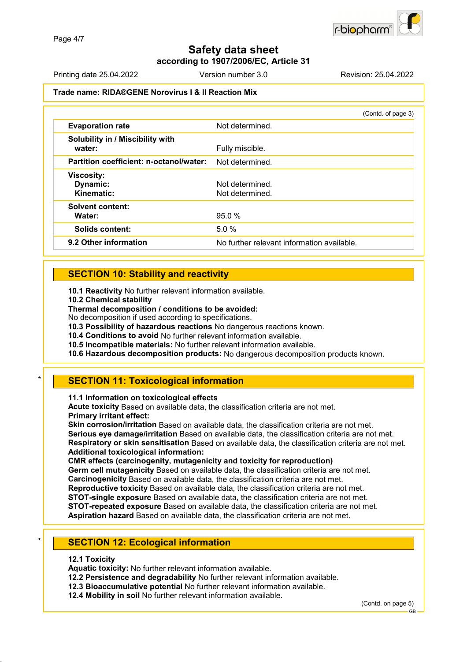### **Safety data sheet according to 1907/2006/EC, Article 31**

Printing date 25.04.2022 Version number 3.0 Revision: 25.04.2022

#### **Trade name: RIDA®GENE Norovirus I & II Reaction Mix**

|                                             | (Contd. of page 3)                         |
|---------------------------------------------|--------------------------------------------|
| <b>Evaporation rate</b>                     | Not determined.                            |
| Solubility in / Miscibility with<br>water:  | Fully miscible.                            |
| Partition coefficient: n-octanol/water:     | Not determined.                            |
| <b>Viscosity:</b><br>Dynamic:<br>Kinematic: | Not determined.<br>Not determined.         |
| <b>Solvent content:</b><br>Water:           | 95.0%                                      |
| <b>Solids content:</b>                      | 5.0%                                       |
| 9.2 Other information                       | No further relevant information available. |

### **SECTION 10: Stability and reactivity**

**10.1 Reactivity** No further relevant information available.

**10.2 Chemical stability**

**Thermal decomposition / conditions to be avoided:**

No decomposition if used according to specifications.

**10.3 Possibility of hazardous reactions** No dangerous reactions known.

**10.4 Conditions to avoid** No further relevant information available.

**10.5 Incompatible materials:** No further relevant information available.

**10.6 Hazardous decomposition products:** No dangerous decomposition products known.

### **SECTION 11: Toxicological information**

**11.1 Information on toxicological effects**

**Acute toxicity** Based on available data, the classification criteria are not met. **Primary irritant effect:**

**Skin corrosion/irritation** Based on available data, the classification criteria are not met. **Serious eye damage/irritation** Based on available data, the classification criteria are not met. **Respiratory or skin sensitisation** Based on available data, the classification criteria are not met. **Additional toxicological information:**

**CMR effects (carcinogenity, mutagenicity and toxicity for reproduction)**

**Germ cell mutagenicity** Based on available data, the classification criteria are not met.

**Carcinogenicity** Based on available data, the classification criteria are not met.

**Reproductive toxicity** Based on available data, the classification criteria are not met.

**STOT-single exposure** Based on available data, the classification criteria are not met. **STOT-repeated exposure** Based on available data, the classification criteria are not met.

**Aspiration hazard** Based on available data, the classification criteria are not met.

### **SECTION 12: Ecological information**

#### **12.1 Toxicity**

**Aquatic toxicity:** No further relevant information available.

**12.2 Persistence and degradability** No further relevant information available.

**12.3 Bioaccumulative potential** No further relevant information available.

**12.4 Mobility in soil** No further relevant information available.

(Contd. on page 5)

GB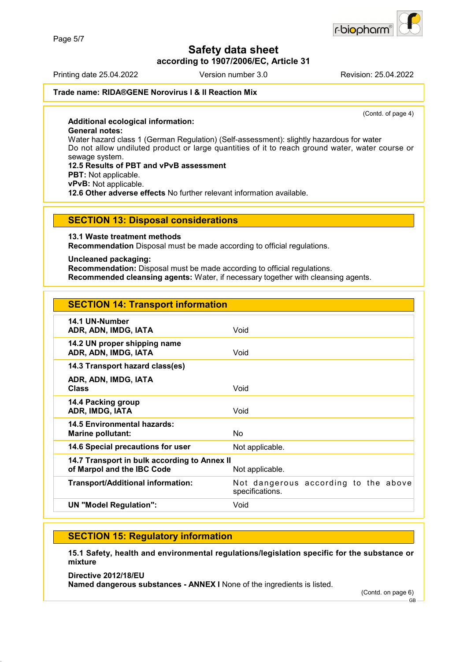**according to 1907/2006/EC, Article 31**

Printing date 25.04.2022 Version number 3.0 Revision: 25.04.2022

#### **Trade name: RIDA®GENE Norovirus I & II Reaction Mix**

(Contd. of page 4)

**Additional ecological information: General notes:** Water hazard class 1 (German Regulation) (Self-assessment): slightly hazardous for water Do not allow undiluted product or large quantities of it to reach ground water, water course or sewage system. **12.5 Results of PBT and vPvB assessment PBT:** Not applicable. **vPvB:** Not applicable. **12.6 Other adverse effects** No further relevant information available.

#### **SECTION 13: Disposal considerations**

**13.1 Waste treatment methods**

**Recommendation** Disposal must be made according to official regulations.

#### **Uncleaned packaging:**

**Recommendation:** Disposal must be made according to official regulations. **Recommended cleansing agents:** Water, if necessary together with cleansing agents.

| <b>SECTION 14: Transport information</b>                                   |                                                         |
|----------------------------------------------------------------------------|---------------------------------------------------------|
| 14.1 UN-Number<br>ADR, ADN, IMDG, IATA                                     | Void                                                    |
| 14.2 UN proper shipping name<br>ADR, ADN, IMDG, IATA                       | Void                                                    |
| 14.3 Transport hazard class(es)                                            |                                                         |
| ADR, ADN, IMDG, IATA<br><b>Class</b>                                       | Void                                                    |
| 14.4 Packing group<br>ADR, IMDG, IATA                                      | Void                                                    |
| 14.5 Environmental hazards:<br><b>Marine pollutant:</b>                    | No.                                                     |
| 14.6 Special precautions for user                                          | Not applicable.                                         |
| 14.7 Transport in bulk according to Annex II<br>of Marpol and the IBC Code | Not applicable.                                         |
| <b>Transport/Additional information:</b>                                   | Not dangerous according to the above<br>specifications. |
| <b>UN "Model Regulation":</b>                                              | Void                                                    |

### **SECTION 15: Regulatory information**

**15.1 Safety, health and environmental regulations/legislation specific for the substance or mixture**

**Directive 2012/18/EU**

**Named dangerous substances - ANNEX I** None of the ingredients is listed.

(Contd. on page 6)



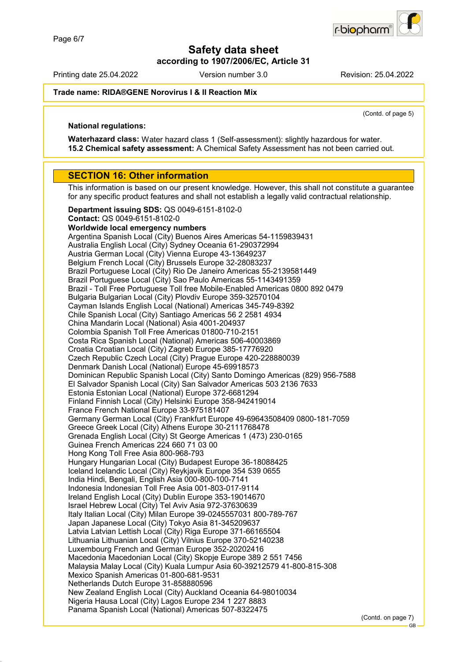r-biopharr

**Safety data sheet**

**according to 1907/2006/EC, Article 31**

Printing date 25.04.2022 Version number 3.0 Revision: 25.04.2022

**Trade name: RIDA®GENE Norovirus I & II Reaction Mix**

(Contd. of page 5)

#### **National regulations:**

**Waterhazard class:** Water hazard class 1 (Self-assessment): slightly hazardous for water. **15.2 Chemical safety assessment:** A Chemical Safety Assessment has not been carried out.

#### **SECTION 16: Other information**

This information is based on our present knowledge. However, this shall not constitute a guarantee for any specific product features and shall not establish a legally valid contractual relationship.

**Department issuing SDS:** QS 0049-6151-8102-0 **Contact:** QS 0049-6151-8102-0 **Worldwide local emergency numbers** Argentina Spanish Local (City) Buenos Aires Americas 54-1159839431 Australia English Local (City) Sydney Oceania 61-290372994 Austria German Local (City) Vienna Europe 43-13649237 Belgium French Local (City) Brussels Europe 32-28083237 Brazil Portuguese Local (City) Rio De Janeiro Americas 55-2139581449 Brazil Portuguese Local (City) Sao Paulo Americas 55-1143491359 Brazil - Toll Free Portuguese Toll free Mobile-Enabled Americas 0800 892 0479 Bulgaria Bulgarian Local (City) Plovdiv Europe 359-32570104 Cayman Islands English Local (National) Americas 345-749-8392 Chile Spanish Local (City) Santiago Americas 56 2 2581 4934 China Mandarin Local (National) Asia 4001-204937 Colombia Spanish Toll Free Americas 01800-710-2151 Costa Rica Spanish Local (National) Americas 506-40003869 Croatia Croatian Local (City) Zagreb Europe 385-17776920 Czech Republic Czech Local (City) Prague Europe 420-228880039 Denmark Danish Local (National) Europe 45-69918573 Dominican Republic Spanish Local (City) Santo Domingo Americas (829) 956-7588 El Salvador Spanish Local (City) San Salvador Americas 503 2136 7633 Estonia Estonian Local (National) Europe 372-6681294 Finland Finnish Local (City) Helsinki Europe 358-942419014 France French National Europe 33-975181407 Germany German Local (City) Frankfurt Europe 49-69643508409 0800-181-7059 Greece Greek Local (City) Athens Europe 30-2111768478 Grenada English Local (City) St George Americas 1 (473) 230-0165 Guinea French Americas 224 660 71 03 00 Hong Kong Toll Free Asia 800-968-793 Hungary Hungarian Local (City) Budapest Europe 36-18088425 Iceland Icelandic Local (City) Reykjavik Europe 354 539 0655 India Hindi, Bengali, English Asia 000-800-100-7141 Indonesia Indonesian Toll Free Asia 001-803-017-9114 Ireland English Local (City) Dublin Europe 353-19014670 Israel Hebrew Local (City) Tel Aviv Asia 972-37630639 Italy Italian Local (City) Milan Europe 39-0245557031 800-789-767 Japan Japanese Local (City) Tokyo Asia 81-345209637 Latvia Latvian Lettish Local (City) Riga Europe 371-66165504 Lithuania Lithuanian Local (City) Vilnius Europe 370-52140238 Luxembourg French and German Europe 352-20202416 Macedonia Macedonian Local (City) Skopje Europe 389 2 551 7456 Malaysia Malay Local (City) Kuala Lumpur Asia 60-39212579 41-800-815-308 Mexico Spanish Americas 01-800-681-9531 Netherlands Dutch Europe 31-858880596 New Zealand English Local (City) Auckland Oceania 64-98010034 Nigeria Hausa Local (City) Lagos Europe 234 1 227 8883 Panama Spanish Local (National) Americas 507-8322475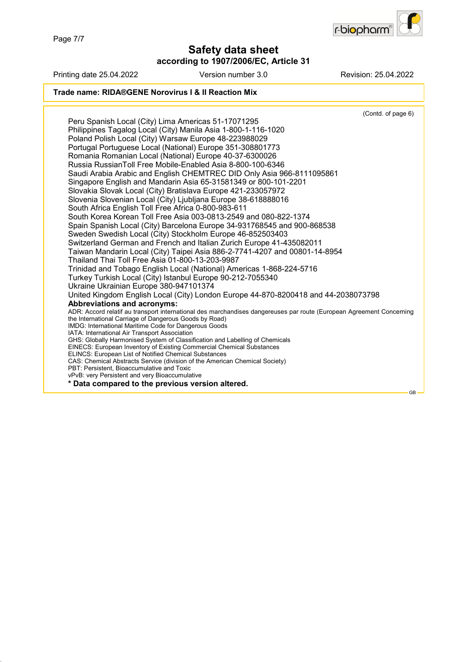Page 7/7

### **Safety data sheet according to 1907/2006/EC, Article 31**



Printing date 25.04.2022 Version number 3.0 Revision: 25.04.2022 **Trade name: RIDA®GENE Norovirus I & II Reaction Mix** (Contd. of page 6) Peru Spanish Local (City) Lima Americas 51-17071295 Philippines Tagalog Local (City) Manila Asia 1-800-1-116-1020 Poland Polish Local (City) Warsaw Europe 48-223988029 Portugal Portuguese Local (National) Europe 351-308801773 Romania Romanian Local (National) Europe 40-37-6300026 Russia RussianToll Free Mobile-Enabled Asia 8-800-100-6346 Saudi Arabia Arabic and English CHEMTREC DID Only Asia 966-8111095861 Singapore English and Mandarin Asia 65-31581349 or 800-101-2201 Slovakia Slovak Local (City) Bratislava Europe 421-233057972 Slovenia Slovenian Local (City) Ljubljana Europe 38-618888016 South Africa English Toll Free Africa 0-800-983-611 South Korea Korean Toll Free Asia 003-0813-2549 and 080-822-1374 Spain Spanish Local (City) Barcelona Europe 34-931768545 and 900-868538 Sweden Swedish Local (City) Stockholm Europe 46-852503403 Switzerland German and French and Italian Zurich Europe 41-435082011 Taiwan Mandarin Local (City) Taipei Asia 886-2-7741-4207 and 00801-14-8954 Thailand Thai Toll Free Asia 01-800-13-203-9987 Trinidad and Tobago English Local (National) Americas 1-868-224-5716 Turkey Turkish Local (City) Istanbul Europe 90-212-7055340 Ukraine Ukrainian Europe 380-947101374 United Kingdom English Local (City) London Europe 44-870-8200418 and 44-2038073798 **Abbreviations and acronyms:** ADR: Accord relatif au transport international des marchandises dangereuses par route (European Agreement Concerning the International Carriage of Dangerous Goods by Road) IMDG: International Maritime Code for Dangerous Goods IATA: International Air Transport Association GHS: Globally Harmonised System of Classification and Labelling of Chemicals EINECS: European Inventory of Existing Commercial Chemical Substances ELINCS: European List of Notified Chemical Substances CAS: Chemical Abstracts Service (division of the American Chemical Society) PBT: Persistent, Bioaccumulative and Toxic vPvB: very Persistent and very Bioaccumulative **\* Data compared to the previous version altered.** GB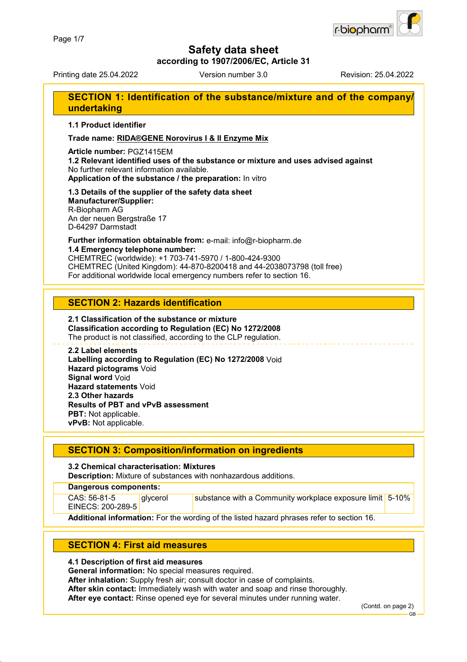

**according to 1907/2006/EC, Article 31**

Printing date 25.04.2022 Version number 3.0 Revision: 25.04.2022

### **SECTION 1: Identification of the substance/mixture and of the company/ undertaking**

**1.1 Product identifier**

**Trade name: RIDA®GENE Norovirus I & II Enzyme Mix**

#### **Article number:** PGZ1415EM

**1.2 Relevant identified uses of the substance or mixture and uses advised against** No further relevant information available. **Application of the substance / the preparation:** In vitro

### **1.3 Details of the supplier of the safety data sheet Manufacturer/Supplier:**

R-Biopharm AG An der neuen Bergstraße 17 D-64297 Darmstadt

### **Further information obtainable from:** e-mail: info@r-biopharm.de **1.4 Emergency telephone number:**

CHEMTREC (worldwide): +1 703-741-5970 / 1-800-424-9300 CHEMTREC (United Kingdom): 44-870-8200418 and 44-2038073798 (toll free) For additional worldwide local emergency numbers refer to section 16.

### **SECTION 2: Hazards identification**

### **2.1 Classification of the substance or mixture Classification according to Regulation (EC) No 1272/2008**

The product is not classified, according to the CLP regulation.

#### **2.2 Label elements Labelling according to Regulation (EC) No 1272/2008** Void **Hazard pictograms** Void **Signal word** Void **Hazard statements** Void **2.3 Other hazards**

**Results of PBT and vPvB assessment**

**PBT:** Not applicable. **vPvB:** Not applicable.

### **SECTION 3: Composition/information on ingredients**

#### **3.2 Chemical characterisation: Mixtures**

**Description:** Mixture of substances with nonhazardous additions.

#### **Dangerous components:**

CAS: 56-81-5 EINECS: 200-289-5

glycerol substance with a Community workplace exposure limit 5-10%

**Additional information:** For the wording of the listed hazard phrases refer to section 16.

### **SECTION 4: First aid measures**

#### **4.1 Description of first aid measures**

**General information:** No special measures required.

**After inhalation:** Supply fresh air; consult doctor in case of complaints.

**After skin contact:** Immediately wash with water and soap and rinse thoroughly.

**After eye contact:** Rinse opened eye for several minutes under running water.

(Contd. on page 2)

GB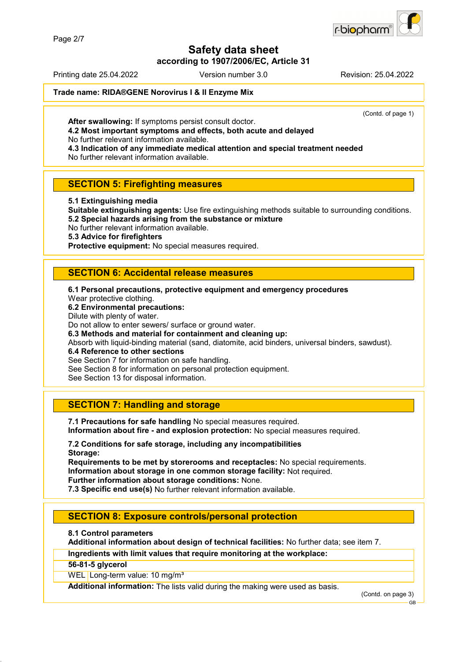

**according to 1907/2006/EC, Article 31**

Printing date 25.04.2022 Version number 3.0 Revision: 25.04.2022

**Trade name: RIDA®GENE Norovirus I & II Enzyme Mix**

(Contd. of page 1)

**After swallowing:** If symptoms persist consult doctor.

**4.2 Most important symptoms and effects, both acute and delayed** No further relevant information available.

**4.3 Indication of any immediate medical attention and special treatment needed** No further relevant information available.

### **SECTION 5: Firefighting measures**

**5.1 Extinguishing media**

**Suitable extinguishing agents:** Use fire extinguishing methods suitable to surrounding conditions. **5.2 Special hazards arising from the substance or mixture**

No further relevant information available.

**5.3 Advice for firefighters**

**Protective equipment:** No special measures required.

### **SECTION 6: Accidental release measures**

**6.1 Personal precautions, protective equipment and emergency procedures** Wear protective clothing. **6.2 Environmental precautions:** Dilute with plenty of water. Do not allow to enter sewers/ surface or ground water. **6.3 Methods and material for containment and cleaning up:** Absorb with liquid-binding material (sand, diatomite, acid binders, universal binders, sawdust). **6.4 Reference to other sections** See Section 7 for information on safe handling. See Section 8 for information on personal protection equipment.

See Section 13 for disposal information.

### **SECTION 7: Handling and storage**

**7.1 Precautions for safe handling** No special measures required. **Information about fire - and explosion protection:** No special measures required.

**7.2 Conditions for safe storage, including any incompatibilities Storage:**

**Requirements to be met by storerooms and receptacles:** No special requirements. **Information about storage in one common storage facility:** Not required. **Further information about storage conditions:** None.

**7.3 Specific end use(s)** No further relevant information available.

#### **SECTION 8: Exposure controls/personal protection**

**8.1 Control parameters**

**Additional information about design of technical facilities:** No further data; see item 7.

**Ingredients with limit values that require monitoring at the workplace:**

**56-81-5 glycerol**

WEL Long-term value: 10 mg/m<sup>3</sup>

**Additional information:** The lists valid during the making were used as basis.

(Contd. on page 3) GB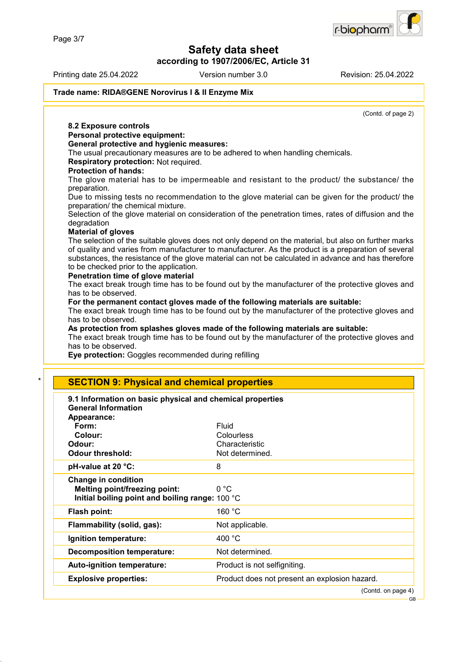

**according to 1907/2006/EC, Article 31**

Printing date 25.04.2022 Version number 3.0 Revision: 25.04.2022

r-biopharm

**Trade name: RIDA®GENE Norovirus I & II Enzyme Mix**

|                                                                                                                      | (Contd. of page 2)                                                                                   |
|----------------------------------------------------------------------------------------------------------------------|------------------------------------------------------------------------------------------------------|
| 8.2 Exposure controls                                                                                                |                                                                                                      |
| Personal protective equipment:                                                                                       |                                                                                                      |
| <b>General protective and hygienic measures:</b>                                                                     |                                                                                                      |
| Respiratory protection: Not required.                                                                                | The usual precautionary measures are to be adhered to when handling chemicals.                       |
| <b>Protection of hands:</b>                                                                                          |                                                                                                      |
| The glove material has to be impermeable and resistant to the product/ the substance/ the                            |                                                                                                      |
| preparation.                                                                                                         |                                                                                                      |
| Due to missing tests no recommendation to the glove material can be given for the product/ the                       |                                                                                                      |
| preparation/ the chemical mixture.                                                                                   |                                                                                                      |
| Selection of the glove material on consideration of the penetration times, rates of diffusion and the<br>degradation |                                                                                                      |
| <b>Material of gloves</b>                                                                                            |                                                                                                      |
|                                                                                                                      | The selection of the suitable gloves does not only depend on the material, but also on further marks |
|                                                                                                                      | of quality and varies from manufacturer to manufacturer. As the product is a preparation of several  |
| to be checked prior to the application.                                                                              | substances, the resistance of the glove material can not be calculated in advance and has therefore  |
| Penetration time of glove material                                                                                   |                                                                                                      |
|                                                                                                                      | The exact break trough time has to be found out by the manufacturer of the protective gloves and     |
| has to be observed.                                                                                                  |                                                                                                      |
|                                                                                                                      | For the permanent contact gloves made of the following materials are suitable:                       |
| has to be observed.                                                                                                  | The exact break trough time has to be found out by the manufacturer of the protective gloves and     |
|                                                                                                                      |                                                                                                      |
|                                                                                                                      |                                                                                                      |
|                                                                                                                      | As protection from splashes gloves made of the following materials are suitable:                     |
| has to be observed.                                                                                                  |                                                                                                      |
| Eye protection: Goggles recommended during refilling                                                                 |                                                                                                      |
|                                                                                                                      |                                                                                                      |
| <b>SECTION 9: Physical and chemical properties</b>                                                                   | The exact break trough time has to be found out by the manufacturer of the protective gloves and     |
|                                                                                                                      |                                                                                                      |
| 9.1 Information on basic physical and chemical properties<br><b>General Information</b>                              |                                                                                                      |
| Appearance:                                                                                                          |                                                                                                      |
| Form:                                                                                                                | <b>Fluid</b>                                                                                         |
| Colour:                                                                                                              | Colourless                                                                                           |
|                                                                                                                      | Characteristic                                                                                       |
| <b>Odour threshold:</b>                                                                                              | Not determined.                                                                                      |
| Odour:<br>pH-value at 20 °C:                                                                                         | 8                                                                                                    |
| <b>Change in condition</b>                                                                                           |                                                                                                      |
| <b>Melting point/freezing point:</b>                                                                                 | 0 °C                                                                                                 |
| Initial boiling point and boiling range: 100 °C                                                                      |                                                                                                      |
| Flash point:                                                                                                         | 160 °C                                                                                               |
| Flammability (solid, gas):                                                                                           | Not applicable.                                                                                      |
| Ignition temperature:                                                                                                | 400 °C                                                                                               |
| <b>Decomposition temperature:</b>                                                                                    | Not determined.                                                                                      |
| Auto-ignition temperature:                                                                                           | Product is not selfigniting.                                                                         |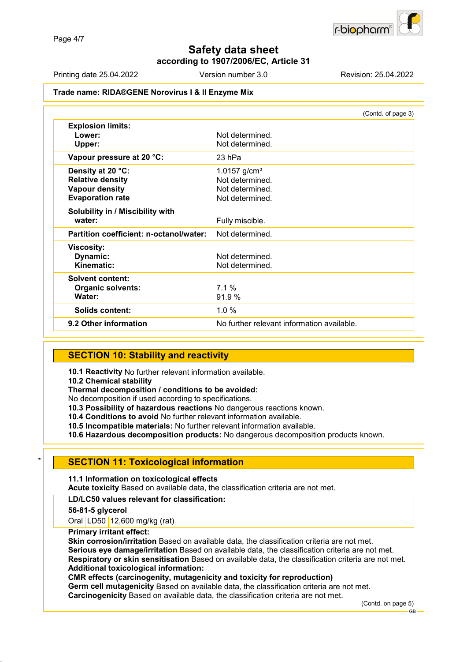

### **Safety data sheet according to 1907/2006/EC, Article 31**

Printing date 25.04.2022 Version number 3.0 Revision: 25.04.2022

#### **Trade name: RIDA®GENE Norovirus I & II Enzyme Mix**

|                                         | (Contd. of page 3)                         |
|-----------------------------------------|--------------------------------------------|
| <b>Explosion limits:</b>                |                                            |
| Lower:                                  | Not determined.                            |
| Upper:                                  | Not determined.                            |
| Vapour pressure at 20 °C:               | 23 hPa                                     |
| Density at 20 °C:                       | 1.0157 $g/cm3$                             |
| <b>Relative density</b>                 | Not determined.                            |
| <b>Vapour density</b>                   | Not determined.                            |
| <b>Evaporation rate</b>                 | Not determined.                            |
| Solubility in / Miscibility with        |                                            |
| water:                                  | Fully miscible.                            |
| Partition coefficient: n-octanol/water: | Not determined.                            |
| <b>Viscosity:</b>                       |                                            |
| <b>Dynamic:</b>                         | Not determined.                            |
| Kinematic:                              | Not determined.                            |
| <b>Solvent content:</b>                 |                                            |
| <b>Organic solvents:</b>                | 7.1%                                       |
| Water:                                  | 91.9 %                                     |
| Solids content:                         | $1.0 \%$                                   |
| 9.2 Other information                   | No further relevant information available. |

### **SECTION 10: Stability and reactivity**

**10.1 Reactivity** No further relevant information available.

**10.2 Chemical stability**

**Thermal decomposition / conditions to be avoided:**

No decomposition if used according to specifications.

**10.3 Possibility of hazardous reactions** No dangerous reactions known.

**10.4 Conditions to avoid** No further relevant information available.

**10.5 Incompatible materials:** No further relevant information available.

**10.6 Hazardous decomposition products:** No dangerous decomposition products known.

### **SECTION 11: Toxicological information**

**11.1 Information on toxicological effects**

**Acute toxicity** Based on available data, the classification criteria are not met.

#### **LD/LC50 values relevant for classification:**

#### **56-81-5 glycerol**

Oral LD50 12,600 mg/kg (rat)

#### **Primary irritant effect:**

**Skin corrosion/irritation** Based on available data, the classification criteria are not met. **Serious eye damage/irritation** Based on available data, the classification criteria are not met. **Respiratory or skin sensitisation** Based on available data, the classification criteria are not met. **Additional toxicological information:**

#### **CMR effects (carcinogenity, mutagenicity and toxicity for reproduction)**

**Germ cell mutagenicity** Based on available data, the classification criteria are not met. **Carcinogenicity** Based on available data, the classification criteria are not met.

(Contd. on page 5)

GB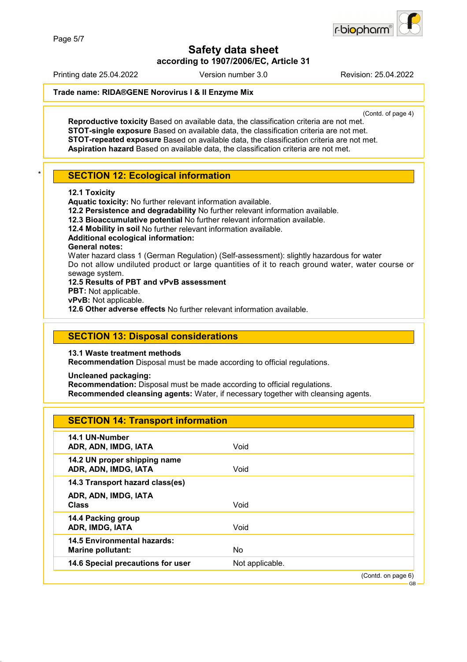**Safety data sheet according to 1907/2006/EC, Article 31**

Printing date 25.04.2022 Version number 3.0 Revision: 25.04.2022

#### **Trade name: RIDA®GENE Norovirus I & II Enzyme Mix**

(Contd. of page 4)

**Reproductive toxicity** Based on available data, the classification criteria are not met. **STOT-single exposure** Based on available data, the classification criteria are not met. **STOT-repeated exposure** Based on available data, the classification criteria are not met. **Aspiration hazard** Based on available data, the classification criteria are not met.

### **SECTION 12: Ecological information**

#### **12.1 Toxicity**

**Aquatic toxicity:** No further relevant information available.

**12.2 Persistence and degradability** No further relevant information available.

**12.3 Bioaccumulative potential** No further relevant information available.

**12.4 Mobility in soil** No further relevant information available.

**Additional ecological information:**

#### **General notes:**

Water hazard class 1 (German Regulation) (Self-assessment): slightly hazardous for water Do not allow undiluted product or large quantities of it to reach ground water, water course or sewage system.

**12.5 Results of PBT and vPvB assessment**

**PBT:** Not applicable.

**vPvB:** Not applicable.

**12.6 Other adverse effects** No further relevant information available.

### **SECTION 13: Disposal considerations**

**13.1 Waste treatment methods**

**Recommendation** Disposal must be made according to official regulations.

**Uncleaned packaging:**

**Recommendation:** Disposal must be made according to official regulations.

**Recommended cleansing agents:** Water, if necessary together with cleansing agents.

| <b>SECTION 14: Transport information</b>                |                 |                    |
|---------------------------------------------------------|-----------------|--------------------|
| 14.1 UN-Number<br>ADR, ADN, IMDG, IATA                  | Void            |                    |
| 14.2 UN proper shipping name<br>ADR, ADN, IMDG, IATA    | Void            |                    |
| 14.3 Transport hazard class(es)                         |                 |                    |
| ADR, ADN, IMDG, IATA<br><b>Class</b>                    | Void            |                    |
| 14.4 Packing group<br>ADR, IMDG, IATA                   | Void            |                    |
| 14.5 Environmental hazards:<br><b>Marine pollutant:</b> | No              |                    |
| 14.6 Special precautions for user                       | Not applicable. |                    |
|                                                         |                 | (Contd. on page 6) |

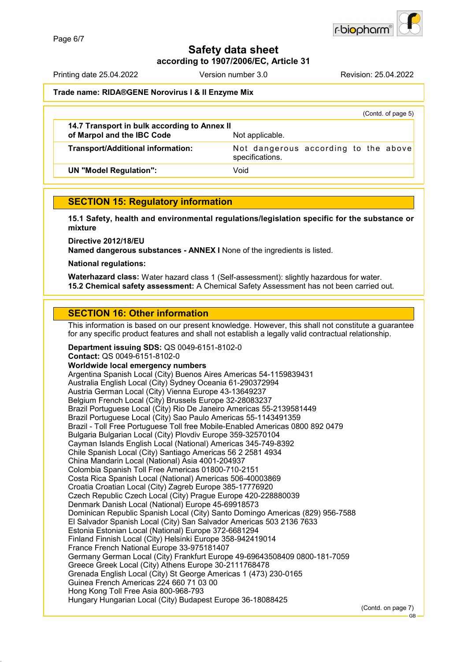

**according to 1907/2006/EC, Article 31**

Printing date 25.04.2022 Version number 3.0 Revision: 25.04.2022

#### **Trade name: RIDA®GENE Norovirus I & II Enzyme Mix**

|                                                                            | (Contd. of page 5)                                      |
|----------------------------------------------------------------------------|---------------------------------------------------------|
| 14.7 Transport in bulk according to Annex II<br>of Marpol and the IBC Code | Not applicable.                                         |
| Transport/Additional information:                                          | Not dangerous according to the above<br>specifications. |
| <b>UN "Model Regulation":</b>                                              | Void                                                    |
|                                                                            |                                                         |

### **SECTION 15: Regulatory information**

**15.1 Safety, health and environmental regulations/legislation specific for the substance or mixture**

**Directive 2012/18/EU**

**Named dangerous substances - ANNEX I** None of the ingredients is listed.

**National regulations:**

**Waterhazard class:** Water hazard class 1 (Self-assessment): slightly hazardous for water. **15.2 Chemical safety assessment:** A Chemical Safety Assessment has not been carried out.

### **SECTION 16: Other information**

This information is based on our present knowledge. However, this shall not constitute a guarantee for any specific product features and shall not establish a legally valid contractual relationship.

**Department issuing SDS:** QS 0049-6151-8102-0 **Contact:** QS 0049-6151-8102-0 **Worldwide local emergency numbers** Argentina Spanish Local (City) Buenos Aires Americas 54-1159839431 Australia English Local (City) Sydney Oceania 61-290372994 Austria German Local (City) Vienna Europe 43-13649237 Belgium French Local (City) Brussels Europe 32-28083237 Brazil Portuguese Local (City) Rio De Janeiro Americas 55-2139581449 Brazil Portuguese Local (City) Sao Paulo Americas 55-1143491359 Brazil - Toll Free Portuguese Toll free Mobile-Enabled Americas 0800 892 0479 Bulgaria Bulgarian Local (City) Plovdiv Europe 359-32570104 Cayman Islands English Local (National) Americas 345-749-8392 Chile Spanish Local (City) Santiago Americas 56 2 2581 4934 China Mandarin Local (National) Asia 4001-204937 Colombia Spanish Toll Free Americas 01800-710-2151 Costa Rica Spanish Local (National) Americas 506-40003869 Croatia Croatian Local (City) Zagreb Europe 385-17776920 Czech Republic Czech Local (City) Prague Europe 420-228880039 Denmark Danish Local (National) Europe 45-69918573 Dominican Republic Spanish Local (City) Santo Domingo Americas (829) 956-7588 El Salvador Spanish Local (City) San Salvador Americas 503 2136 7633 Estonia Estonian Local (National) Europe 372-6681294 Finland Finnish Local (City) Helsinki Europe 358-942419014 France French National Europe 33-975181407 Germany German Local (City) Frankfurt Europe 49-69643508409 0800-181-7059 Greece Greek Local (City) Athens Europe 30-2111768478 Grenada English Local (City) St George Americas 1 (473) 230-0165 Guinea French Americas 224 660 71 03 00 Hong Kong Toll Free Asia 800-968-793 Hungary Hungarian Local (City) Budapest Europe 36-18088425

(Contd. on page 7)

GB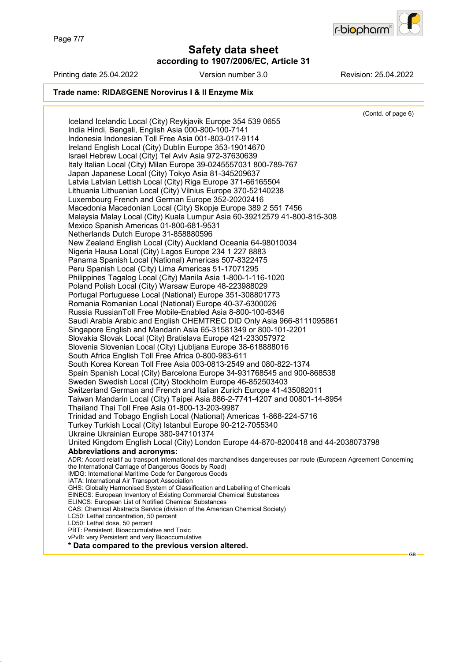

### **Safety data sheet according to 1907/2006/EC, Article 31**



Printing date 25.04.2022 Version number 3.0 Revision: 25.04.2022

GB

#### **Trade name: RIDA®GENE Norovirus I & II Enzyme Mix**

(Contd. of page 6) Iceland Icelandic Local (City) Reykjavik Europe 354 539 0655 India Hindi, Bengali, English Asia 000-800-100-7141 Indonesia Indonesian Toll Free Asia 001-803-017-9114 Ireland English Local (City) Dublin Europe 353-19014670 Israel Hebrew Local (City) Tel Aviv Asia 972-37630639 Italy Italian Local (City) Milan Europe 39-0245557031 800-789-767 Japan Japanese Local (City) Tokyo Asia 81-345209637 Latvia Latvian Lettish Local (City) Riga Europe 371-66165504 Lithuania Lithuanian Local (City) Vilnius Europe 370-52140238 Luxembourg French and German Europe 352-20202416 Macedonia Macedonian Local (City) Skopje Europe 389 2 551 7456 Malaysia Malay Local (City) Kuala Lumpur Asia 60-39212579 41-800-815-308 Mexico Spanish Americas 01-800-681-9531 Netherlands Dutch Europe 31-858880596 New Zealand English Local (City) Auckland Oceania 64-98010034 Nigeria Hausa Local (City) Lagos Europe 234 1 227 8883 Panama Spanish Local (National) Americas 507-8322475 Peru Spanish Local (City) Lima Americas 51-17071295 Philippines Tagalog Local (City) Manila Asia 1-800-1-116-1020 Poland Polish Local (City) Warsaw Europe 48-223988029 Portugal Portuguese Local (National) Europe 351-308801773 Romania Romanian Local (National) Europe 40-37-6300026 Russia RussianToll Free Mobile-Enabled Asia 8-800-100-6346 Saudi Arabia Arabic and English CHEMTREC DID Only Asia 966-8111095861 Singapore English and Mandarin Asia 65-31581349 or 800-101-2201 Slovakia Slovak Local (City) Bratislava Europe 421-233057972 Slovenia Slovenian Local (City) Ljubljana Europe 38-618888016 South Africa English Toll Free Africa 0-800-983-611 South Korea Korean Toll Free Asia 003-0813-2549 and 080-822-1374 Spain Spanish Local (City) Barcelona Europe 34-931768545 and 900-868538 Sweden Swedish Local (City) Stockholm Europe 46-852503403 Switzerland German and French and Italian Zurich Europe 41-435082011 Taiwan Mandarin Local (City) Taipei Asia 886-2-7741-4207 and 00801-14-8954 Thailand Thai Toll Free Asia 01-800-13-203-9987 Trinidad and Tobago English Local (National) Americas 1-868-224-5716 Turkey Turkish Local (City) Istanbul Europe 90-212-7055340 Ukraine Ukrainian Europe 380-947101374 United Kingdom English Local (City) London Europe 44-870-8200418 and 44-2038073798 **Abbreviations and acronyms:** ADR: Accord relatif au transport international des marchandises dangereuses par route (European Agreement Concerning the International Carriage of Dangerous Goods by Road) IMDG: International Maritime Code for Dangerous Goods IATA: International Air Transport Association GHS: Globally Harmonised System of Classification and Labelling of Chemicals EINECS: European Inventory of Existing Commercial Chemical Substances ELINCS: European List of Notified Chemical Substances CAS: Chemical Abstracts Service (division of the American Chemical Society) LC50: Lethal concentration, 50 percent LD50: Lethal dose, 50 percent PBT: Persistent, Bioaccumulative and Toxic vPvB: very Persistent and very Bioaccumulative **\* Data compared to the previous version altered.**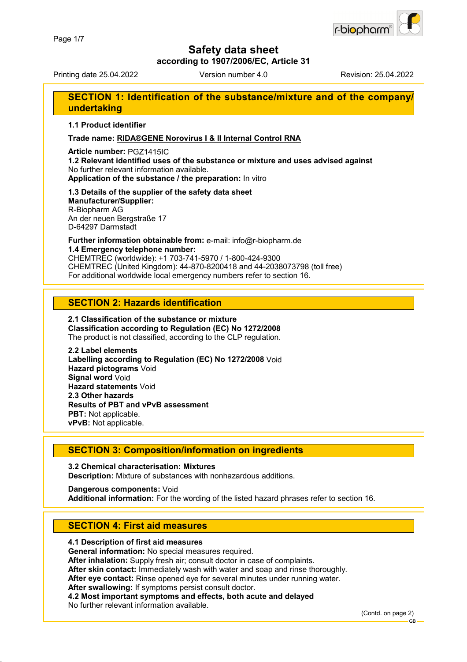

**according to 1907/2006/EC, Article 31**

Printing date 25.04.2022 Version number 4.0 Revision: 25.04.2022

### **SECTION 1: Identification of the substance/mixture and of the company/ undertaking**

**1.1 Product identifier**

#### **Trade name: RIDA®GENE Norovirus I & II Internal Control RNA**

#### **Article number:** PGZ1415IC

**1.2 Relevant identified uses of the substance or mixture and uses advised against** No further relevant information available. **Application of the substance / the preparation:** In vitro

# **1.3 Details of the supplier of the safety data sheet**

**Manufacturer/Supplier:** R-Biopharm AG An der neuen Bergstraße 17 D-64297 Darmstadt

### **Further information obtainable from:** e-mail: info@r-biopharm.de **1.4 Emergency telephone number:**

CHEMTREC (worldwide): +1 703-741-5970 / 1-800-424-9300 CHEMTREC (United Kingdom): 44-870-8200418 and 44-2038073798 (toll free) For additional worldwide local emergency numbers refer to section 16.

### **SECTION 2: Hazards identification**

#### **2.1 Classification of the substance or mixture Classification according to Regulation (EC) No 1272/2008** The product is not classified, according to the CLP regulation.

#### **2.2 Label elements Labelling according to Regulation (EC) No 1272/2008** Void **Hazard pictograms** Void **Signal word** Void **Hazard statements** Void **2.3 Other hazards Results of PBT and vPvB assessment PBT:** Not applicable. **vPvB:** Not applicable.

### **SECTION 3: Composition/information on ingredients**

#### **3.2 Chemical characterisation: Mixtures Description:** Mixture of substances with nonhazardous additions.

#### **Dangerous components:** Void **Additional information:** For the wording of the listed hazard phrases refer to section 16.

### **SECTION 4: First aid measures**

#### **4.1 Description of first aid measures**

**General information:** No special measures required.

**After inhalation:** Supply fresh air; consult doctor in case of complaints.

**After skin contact:** Immediately wash with water and soap and rinse thoroughly.

**After eye contact:** Rinse opened eye for several minutes under running water.

**After swallowing:** If symptoms persist consult doctor.

**4.2 Most important symptoms and effects, both acute and delayed**

No further relevant information available.

(Contd. on page 2)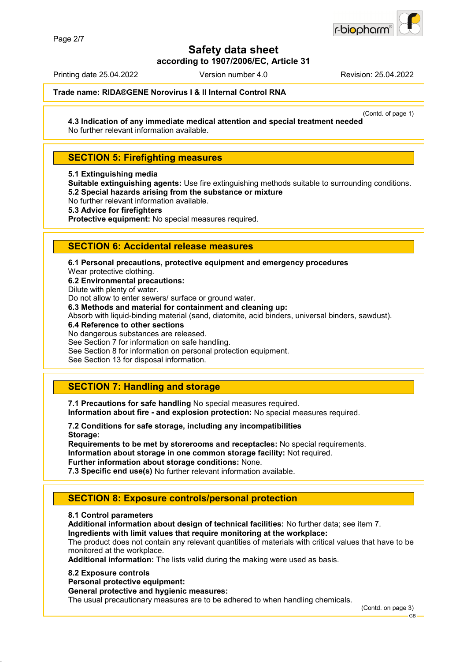

**according to 1907/2006/EC, Article 31**

Printing date 25.04.2022 Version number 4.0 Revision: 25.04.2022

#### **Trade name: RIDA®GENE Norovirus I & II Internal Control RNA**

(Contd. of page 1)

**4.3 Indication of any immediate medical attention and special treatment needed** No further relevant information available.

### **SECTION 5: Firefighting measures**

**5.1 Extinguishing media**

**Suitable extinguishing agents:** Use fire extinguishing methods suitable to surrounding conditions. **5.2 Special hazards arising from the substance or mixture**

No further relevant information available.

**5.3 Advice for firefighters**

**Protective equipment:** No special measures required.

### **SECTION 6: Accidental release measures**

**6.1 Personal precautions, protective equipment and emergency procedures** Wear protective clothing. **6.2 Environmental precautions:** Dilute with plenty of water. Do not allow to enter sewers/ surface or ground water. **6.3 Methods and material for containment and cleaning up:** Absorb with liquid-binding material (sand, diatomite, acid binders, universal binders, sawdust). **6.4 Reference to other sections** No dangerous substances are released. See Section 7 for information on safe handling. See Section 8 for information on personal protection equipment.

See Section 13 for disposal information.

### **SECTION 7: Handling and storage**

**7.1 Precautions for safe handling** No special measures required. **Information about fire - and explosion protection:** No special measures required.

**7.2 Conditions for safe storage, including any incompatibilities Storage:**

**Requirements to be met by storerooms and receptacles:** No special requirements. **Information about storage in one common storage facility:** Not required. **Further information about storage conditions:** None.

**7.3 Specific end use(s)** No further relevant information available.

### **SECTION 8: Exposure controls/personal protection**

#### **8.1 Control parameters**

**Additional information about design of technical facilities:** No further data; see item 7. **Ingredients with limit values that require monitoring at the workplace:**

The product does not contain any relevant quantities of materials with critical values that have to be monitored at the workplace.

**Additional information:** The lists valid during the making were used as basis.

#### **8.2 Exposure controls**

**Personal protective equipment:**

#### **General protective and hygienic measures:**

The usual precautionary measures are to be adhered to when handling chemicals.

(Contd. on page 3)

GB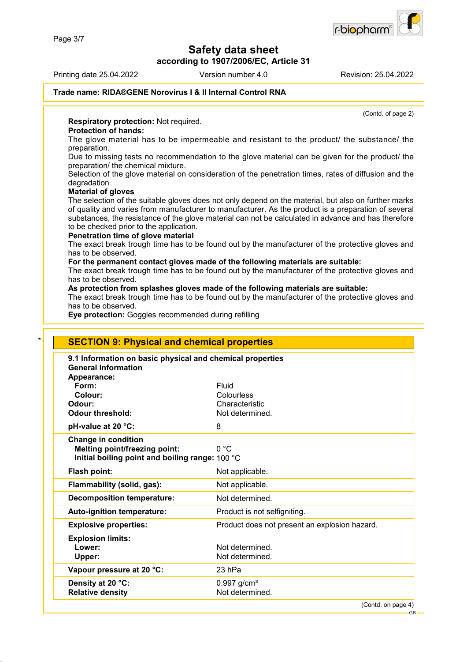**according to 1907/2006/EC, Article 31**

Printing date 25.04.2022 Version number 4.0 Revision: 25.04.2022

r-biopharr

#### **Trade name: RIDA®GENE Norovirus I & II Internal Control RNA**

(Contd. of page 2)

**Respiratory protection:** Not required.

#### **Protection of hands:**

The glove material has to be impermeable and resistant to the product/ the substance/ the preparation.

Due to missing tests no recommendation to the glove material can be given for the product/ the preparation/ the chemical mixture.

Selection of the glove material on consideration of the penetration times, rates of diffusion and the degradation

#### **Material of gloves**

The selection of the suitable gloves does not only depend on the material, but also on further marks of quality and varies from manufacturer to manufacturer. As the product is a preparation of several substances, the resistance of the glove material can not be calculated in advance and has therefore to be checked prior to the application.

#### **Penetration time of glove material**

The exact break trough time has to be found out by the manufacturer of the protective gloves and has to be observed.

#### **For the permanent contact gloves made of the following materials are suitable:**

The exact break trough time has to be found out by the manufacturer of the protective gloves and has to be observed.

#### **As protection from splashes gloves made of the following materials are suitable:**

The exact break trough time has to be found out by the manufacturer of the protective gloves and has to be observed.

**Eye protection:** Goggles recommended during refilling

| 9.1 Information on basic physical and chemical properties |                                               |
|-----------------------------------------------------------|-----------------------------------------------|
| <b>General Information</b>                                |                                               |
| Appearance:                                               |                                               |
| Form:                                                     | Fluid                                         |
| Colour:                                                   | Colourless                                    |
| Odour:                                                    | Characteristic                                |
| Odour threshold:                                          | Not determined.                               |
| pH-value at 20 °C:                                        | 8                                             |
| <b>Change in condition</b>                                |                                               |
| <b>Melting point/freezing point:</b>                      | 0 °C                                          |
| Initial boiling point and boiling range: 100 °C           |                                               |
| Flash point:                                              | Not applicable.                               |
| Flammability (solid, gas):                                | Not applicable.                               |
| <b>Decomposition temperature:</b>                         | Not determined.                               |
| Auto-ignition temperature:                                | Product is not selfigniting.                  |
| <b>Explosive properties:</b>                              | Product does not present an explosion hazard. |
| <b>Explosion limits:</b>                                  |                                               |
| Lower:                                                    | Not determined.                               |
| Upper:                                                    | Not determined.                               |
| Vapour pressure at 20 °C:                                 | 23 hPa                                        |
| Density at 20 °C:                                         | $0.997$ g/cm <sup>3</sup>                     |
| <b>Relative density</b>                                   | Not determined.                               |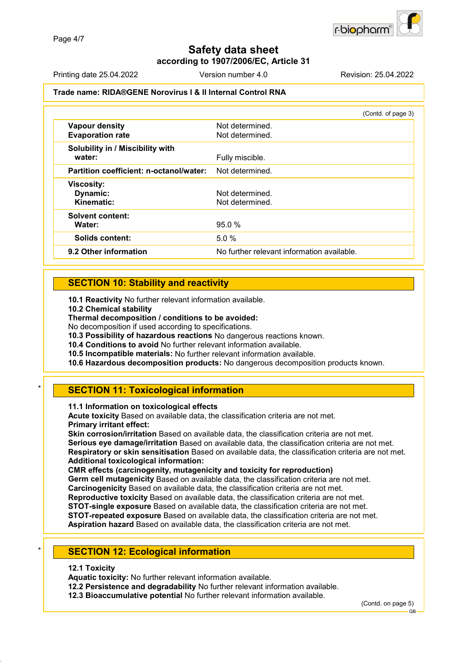**according to 1907/2006/EC, Article 31**

Printing date 25.04.2022 Version number 4.0 Revision: 25.04.2022

#### **Trade name: RIDA®GENE Norovirus I & II Internal Control RNA**

|                                                  | (Contd. of page 3)                         |
|--------------------------------------------------|--------------------------------------------|
| <b>Vapour density</b><br><b>Evaporation rate</b> | Not determined.<br>Not determined.         |
| Solubility in / Miscibility with<br>water:       | Fully miscible.                            |
| Partition coefficient: n-octanol/water:          | Not determined.                            |
| <b>Viscosity:</b>                                |                                            |
| Dynamic:                                         | Not determined.                            |
| Kinematic:                                       | Not determined.                            |
| <b>Solvent content:</b>                          |                                            |
| Water:                                           | 95.0%                                      |
| <b>Solids content:</b>                           | 5.0 %                                      |
| 9.2 Other information                            | No further relevant information available. |
|                                                  |                                            |

### **SECTION 10: Stability and reactivity**

**10.1 Reactivity** No further relevant information available.

**10.2 Chemical stability**

**Thermal decomposition / conditions to be avoided:**

No decomposition if used according to specifications.

**10.3 Possibility of hazardous reactions** No dangerous reactions known.

**10.4 Conditions to avoid** No further relevant information available.

**10.5 Incompatible materials:** No further relevant information available.

**10.6 Hazardous decomposition products:** No dangerous decomposition products known.

### **SECTION 11: Toxicological information**

**11.1 Information on toxicological effects**

**Acute toxicity** Based on available data, the classification criteria are not met. **Primary irritant effect:**

**Skin corrosion/irritation** Based on available data, the classification criteria are not met. **Serious eye damage/irritation** Based on available data, the classification criteria are not met. **Respiratory or skin sensitisation** Based on available data, the classification criteria are not met. **Additional toxicological information:**

**CMR effects (carcinogenity, mutagenicity and toxicity for reproduction)**

**Germ cell mutagenicity** Based on available data, the classification criteria are not met. **Carcinogenicity** Based on available data, the classification criteria are not met.

**Reproductive toxicity** Based on available data, the classification criteria are not met.

**STOT-single exposure** Based on available data, the classification criteria are not met.

**STOT-repeated exposure** Based on available data, the classification criteria are not met.

**Aspiration hazard** Based on available data, the classification criteria are not met.

#### **SECTION 12: Ecological information**

#### **12.1 Toxicity**

**Aquatic toxicity:** No further relevant information available.

**12.2 Persistence and degradability** No further relevant information available.

**12.3 Bioaccumulative potential** No further relevant information available.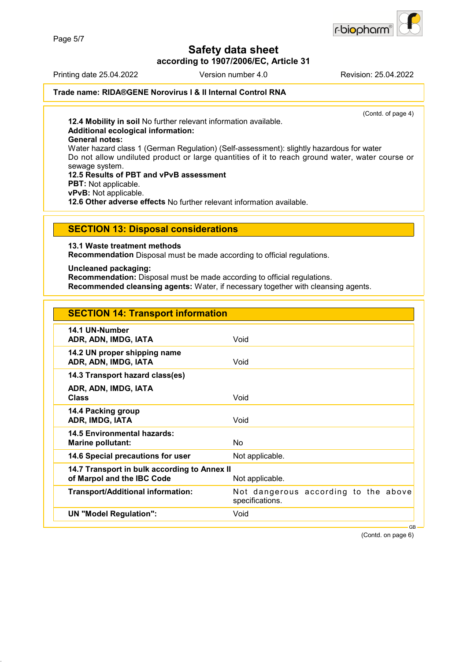

**according to 1907/2006/EC, Article 31**

Printing date 25.04.2022 Version number 4.0 Revision: 25.04.2022

#### **Trade name: RIDA®GENE Norovirus I & II Internal Control RNA**

(Contd. of page 4)

**12.4 Mobility in soil** No further relevant information available. **Additional ecological information:**

**General notes:**

Water hazard class 1 (German Regulation) (Self-assessment): slightly hazardous for water Do not allow undiluted product or large quantities of it to reach ground water, water course or sewage system.

**12.5 Results of PBT and vPvB assessment PBT:** Not applicable. **vPvB:** Not applicable. **12.6 Other adverse effects** No further relevant information available.

### **SECTION 13: Disposal considerations**

**13.1 Waste treatment methods**

**Recommendation** Disposal must be made according to official regulations.

**Uncleaned packaging:**

**Recommendation:** Disposal must be made according to official regulations.

**Recommended cleansing agents:** Water, if necessary together with cleansing agents.

| <b>SECTION 14: Transport information</b>                                   |                                                         |
|----------------------------------------------------------------------------|---------------------------------------------------------|
| 14.1 UN-Number<br>ADR, ADN, IMDG, IATA                                     | Void                                                    |
| 14.2 UN proper shipping name<br>ADR, ADN, IMDG, IATA                       | Void                                                    |
| 14.3 Transport hazard class(es)                                            |                                                         |
| ADR, ADN, IMDG, IATA<br><b>Class</b>                                       | Void                                                    |
| 14.4 Packing group<br>ADR, IMDG, IATA                                      | Void                                                    |
| 14.5 Environmental hazards:<br><b>Marine pollutant:</b>                    | No.                                                     |
| 14.6 Special precautions for user                                          | Not applicable.                                         |
| 14.7 Transport in bulk according to Annex II<br>of Marpol and the IBC Code | Not applicable.                                         |
| <b>Transport/Additional information:</b>                                   | Not dangerous according to the above<br>specifications. |
| <b>UN "Model Regulation":</b>                                              | Void                                                    |
|                                                                            | <b>GB</b>                                               |

(Contd. on page 6)

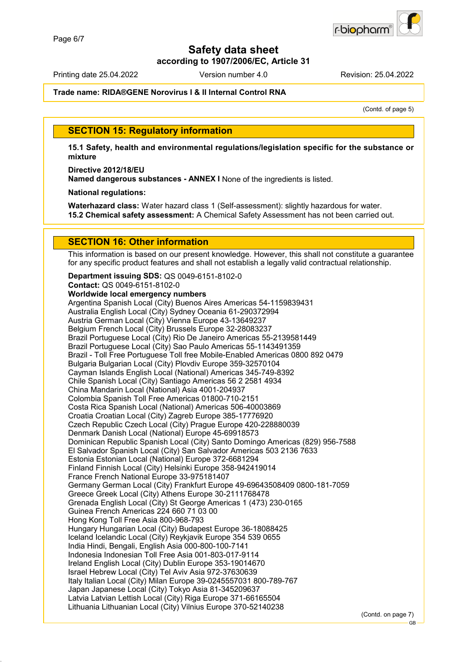**according to 1907/2006/EC, Article 31**

Printing date 25.04.2022 Version number 4.0 Revision: 25.04.2022

#### **Trade name: RIDA®GENE Norovirus I & II Internal Control RNA**

(Contd. of page 5)

### **SECTION 15: Regulatory information**

**15.1 Safety, health and environmental regulations/legislation specific for the substance or mixture**

**Directive 2012/18/EU**

**Named dangerous substances - ANNEX I** None of the ingredients is listed.

**National regulations:**

**Waterhazard class:** Water hazard class 1 (Self-assessment): slightly hazardous for water. **15.2 Chemical safety assessment:** A Chemical Safety Assessment has not been carried out.

### **SECTION 16: Other information**

This information is based on our present knowledge. However, this shall not constitute a guarantee for any specific product features and shall not establish a legally valid contractual relationship.

**Department issuing SDS:** QS 0049-6151-8102-0 **Contact:** QS 0049-6151-8102-0 **Worldwide local emergency numbers** Argentina Spanish Local (City) Buenos Aires Americas 54-1159839431 Australia English Local (City) Sydney Oceania 61-290372994 Austria German Local (City) Vienna Europe 43-13649237 Belgium French Local (City) Brussels Europe 32-28083237 Brazil Portuguese Local (City) Rio De Janeiro Americas 55-2139581449 Brazil Portuguese Local (City) Sao Paulo Americas 55-1143491359 Brazil - Toll Free Portuguese Toll free Mobile-Enabled Americas 0800 892 0479 Bulgaria Bulgarian Local (City) Plovdiv Europe 359-32570104 Cayman Islands English Local (National) Americas 345-749-8392 Chile Spanish Local (City) Santiago Americas 56 2 2581 4934 China Mandarin Local (National) Asia 4001-204937 Colombia Spanish Toll Free Americas 01800-710-2151 Costa Rica Spanish Local (National) Americas 506-40003869 Croatia Croatian Local (City) Zagreb Europe 385-17776920 Czech Republic Czech Local (City) Prague Europe 420-228880039 Denmark Danish Local (National) Europe 45-69918573 Dominican Republic Spanish Local (City) Santo Domingo Americas (829) 956-7588 El Salvador Spanish Local (City) San Salvador Americas 503 2136 7633 Estonia Estonian Local (National) Europe 372-6681294 Finland Finnish Local (City) Helsinki Europe 358-942419014 France French National Europe 33-975181407 Germany German Local (City) Frankfurt Europe 49-69643508409 0800-181-7059 Greece Greek Local (City) Athens Europe 30-2111768478 Grenada English Local (City) St George Americas 1 (473) 230-0165 Guinea French Americas 224 660 71 03 00 Hong Kong Toll Free Asia 800-968-793 Hungary Hungarian Local (City) Budapest Europe 36-18088425 Iceland Icelandic Local (City) Reykjavik Europe 354 539 0655 India Hindi, Bengali, English Asia 000-800-100-7141 Indonesia Indonesian Toll Free Asia 001-803-017-9114 Ireland English Local (City) Dublin Europe 353-19014670 Israel Hebrew Local (City) Tel Aviv Asia 972-37630639 Italy Italian Local (City) Milan Europe 39-0245557031 800-789-767 Japan Japanese Local (City) Tokyo Asia 81-345209637 Latvia Latvian Lettish Local (City) Riga Europe 371-66165504 Lithuania Lithuanian Local (City) Vilnius Europe 370-52140238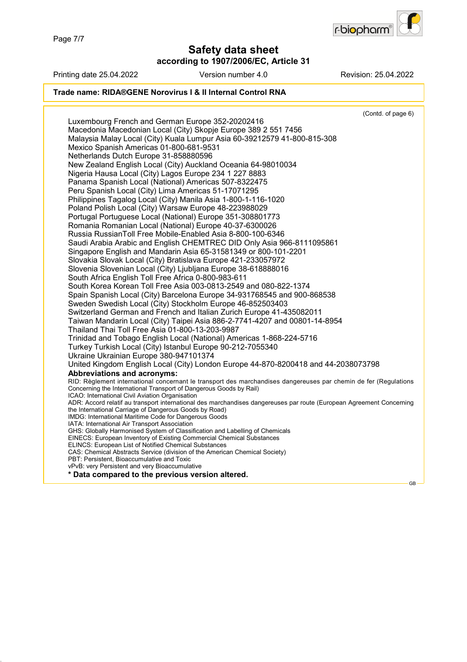

**according to 1907/2006/EC, Article 31**

| Printing date 25.04.2022                                                                                        | Version number 4.0                                                                                                   | Revision: 25.04.2022 |
|-----------------------------------------------------------------------------------------------------------------|----------------------------------------------------------------------------------------------------------------------|----------------------|
|                                                                                                                 | Trade name: RIDA®GENE Norovirus I & II Internal Control RNA                                                          |                      |
|                                                                                                                 |                                                                                                                      | (Contd. of page 6)   |
| Luxembourg French and German Europe 352-20202416                                                                |                                                                                                                      |                      |
|                                                                                                                 | Macedonia Macedonian Local (City) Skopje Europe 389 2 551 7456                                                       |                      |
|                                                                                                                 | Malaysia Malay Local (City) Kuala Lumpur Asia 60-39212579 41-800-815-308                                             |                      |
| Mexico Spanish Americas 01-800-681-9531                                                                         |                                                                                                                      |                      |
| Netherlands Dutch Europe 31-858880596                                                                           |                                                                                                                      |                      |
|                                                                                                                 | New Zealand English Local (City) Auckland Oceania 64-98010034                                                        |                      |
| Nigeria Hausa Local (City) Lagos Europe 234 1 227 8883                                                          |                                                                                                                      |                      |
|                                                                                                                 | Panama Spanish Local (National) Americas 507-8322475                                                                 |                      |
| Peru Spanish Local (City) Lima Americas 51-17071295                                                             |                                                                                                                      |                      |
|                                                                                                                 | Philippines Tagalog Local (City) Manila Asia 1-800-1-116-1020                                                        |                      |
|                                                                                                                 | Poland Polish Local (City) Warsaw Europe 48-223988029                                                                |                      |
|                                                                                                                 | Portugal Portuguese Local (National) Europe 351-308801773                                                            |                      |
|                                                                                                                 | Romania Romanian Local (National) Europe 40-37-6300026<br>Russia RussianToll Free Mobile-Enabled Asia 8-800-100-6346 |                      |
|                                                                                                                 | Saudi Arabia Arabic and English CHEMTREC DID Only Asia 966-8111095861                                                |                      |
|                                                                                                                 | Singapore English and Mandarin Asia 65-31581349 or 800-101-2201                                                      |                      |
|                                                                                                                 | Slovakia Slovak Local (City) Bratislava Europe 421-233057972                                                         |                      |
|                                                                                                                 | Slovenia Slovenian Local (City) Ljubljana Europe 38-618888016                                                        |                      |
| South Africa English Toll Free Africa 0-800-983-611                                                             |                                                                                                                      |                      |
|                                                                                                                 | South Korea Korean Toll Free Asia 003-0813-2549 and 080-822-1374                                                     |                      |
|                                                                                                                 | Spain Spanish Local (City) Barcelona Europe 34-931768545 and 900-868538                                              |                      |
|                                                                                                                 | Sweden Swedish Local (City) Stockholm Europe 46-852503403                                                            |                      |
|                                                                                                                 | Switzerland German and French and Italian Zurich Europe 41-435082011                                                 |                      |
|                                                                                                                 | Taiwan Mandarin Local (City) Taipei Asia 886-2-7741-4207 and 00801-14-8954                                           |                      |
| Thailand Thai Toll Free Asia 01-800-13-203-9987                                                                 |                                                                                                                      |                      |
|                                                                                                                 | Trinidad and Tobago English Local (National) Americas 1-868-224-5716                                                 |                      |
|                                                                                                                 | Turkey Turkish Local (City) Istanbul Europe 90-212-7055340                                                           |                      |
| Ukraine Ukrainian Europe 380-947101374                                                                          |                                                                                                                      |                      |
|                                                                                                                 | United Kingdom English Local (City) London Europe 44-870-8200418 and 44-2038073798                                   |                      |
| <b>Abbreviations and acronyms:</b>                                                                              |                                                                                                                      |                      |
| Concerning the International Transport of Dangerous Goods by Rail)                                              | RID: Règlement international concernant le transport des marchandises dangereuses par chemin de fer (Regulations     |                      |
| ICAO: International Civil Aviation Organisation                                                                 |                                                                                                                      |                      |
|                                                                                                                 | ADR: Accord relatif au transport international des marchandises dangereuses par route (European Agreement Concerning |                      |
| the International Carriage of Dangerous Goods by Road)<br>IMDG: International Maritime Code for Dangerous Goods |                                                                                                                      |                      |
| IATA: International Air Transport Association                                                                   |                                                                                                                      |                      |
|                                                                                                                 | GHS: Globally Harmonised System of Classification and Labelling of Chemicals                                         |                      |
|                                                                                                                 | EINECS: European Inventory of Existing Commercial Chemical Substances                                                |                      |
| ELINCS: European List of Notified Chemical Substances                                                           | CAS: Chemical Abstracts Service (division of the American Chemical Society)                                          |                      |
| PBT: Persistent, Bioaccumulative and Toxic                                                                      |                                                                                                                      |                      |
| vPvB: very Persistent and very Bioaccumulative                                                                  |                                                                                                                      |                      |
| * Data compared to the previous version altered.                                                                |                                                                                                                      |                      |
|                                                                                                                 |                                                                                                                      | GВ                   |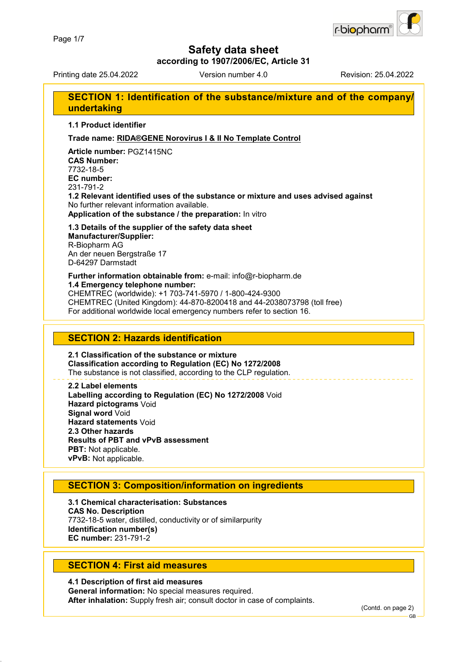

**according to 1907/2006/EC, Article 31**

Printing date 25.04.2022 Version number 4.0 Revision: 25.04.2022

### **SECTION 1: Identification of the substance/mixture and of the company/ undertaking**

**1.1 Product identifier**

#### **Trade name: RIDA®GENE Norovirus I & II No Template Control**

**Article number:** PGZ1415NC **CAS Number:** 7732-18-5 **EC number:** 231-791-2 **1.2 Relevant identified uses of the substance or mixture and uses advised against** No further relevant information available.

**Application of the substance / the preparation:** In vitro

**1.3 Details of the supplier of the safety data sheet Manufacturer/Supplier:** R-Biopharm AG An der neuen Bergstraße 17 D-64297 Darmstadt

**Further information obtainable from:** e-mail: info@r-biopharm.de **1.4 Emergency telephone number:** CHEMTREC (worldwide): +1 703-741-5970 / 1-800-424-9300 CHEMTREC (United Kingdom): 44-870-8200418 and 44-2038073798 (toll free) For additional worldwide local emergency numbers refer to section 16.

### **SECTION 2: Hazards identification**

**2.1 Classification of the substance or mixture Classification according to Regulation (EC) No 1272/2008** The substance is not classified, according to the CLP regulation.

**2.2 Label elements Labelling according to Regulation (EC) No 1272/2008** Void **Hazard pictograms** Void **Signal word** Void **Hazard statements** Void **2.3 Other hazards Results of PBT and vPvB assessment PBT:** Not applicable. **vPvB:** Not applicable.

### **SECTION 3: Composition/information on ingredients**

**3.1 Chemical characterisation: Substances CAS No. Description** 7732-18-5 water, distilled, conductivity or of similarpurity **Identification number(s) EC number:** 231-791-2

### **SECTION 4: First aid measures**

**4.1 Description of first aid measures General information:** No special measures required. **After inhalation:** Supply fresh air; consult doctor in case of complaints.

(Contd. on page 2)

GB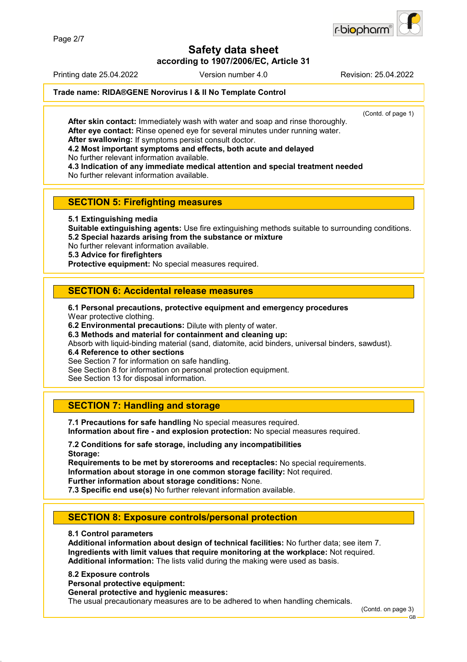

**according to 1907/2006/EC, Article 31**

Printing date 25.04.2022 Version number 4.0 Revision: 25.04.2022

#### **Trade name: RIDA®GENE Norovirus I & II No Template Control**

(Contd. of page 1)

**After skin contact:** Immediately wash with water and soap and rinse thoroughly. **After eye contact:** Rinse opened eye for several minutes under running water. **After swallowing:** If symptoms persist consult doctor.

**4.2 Most important symptoms and effects, both acute and delayed**

No further relevant information available.

**4.3 Indication of any immediate medical attention and special treatment needed** No further relevant information available.

**SECTION 5: Firefighting measures**

**5.1 Extinguishing media**

**Suitable extinguishing agents:** Use fire extinguishing methods suitable to surrounding conditions. **5.2 Special hazards arising from the substance or mixture**

No further relevant information available.

**5.3 Advice for firefighters**

**Protective equipment:** No special measures required.

### **SECTION 6: Accidental release measures**

**6.1 Personal precautions, protective equipment and emergency procedures** Wear protective clothing.

**6.2 Environmental precautions:** Dilute with plenty of water.

**6.3 Methods and material for containment and cleaning up:**

Absorb with liquid-binding material (sand, diatomite, acid binders, universal binders, sawdust).

**6.4 Reference to other sections**

See Section 7 for information on safe handling.

See Section 8 for information on personal protection equipment.

See Section 13 for disposal information.

### **SECTION 7: Handling and storage**

**7.1 Precautions for safe handling** No special measures required. **Information about fire - and explosion protection:** No special measures required.

**7.2 Conditions for safe storage, including any incompatibilities Storage:**

**Requirements to be met by storerooms and receptacles:** No special requirements. **Information about storage in one common storage facility:** Not required. **Further information about storage conditions:** None.

**7.3 Specific end use(s)** No further relevant information available.

### **SECTION 8: Exposure controls/personal protection**

**8.1 Control parameters**

**Additional information about design of technical facilities:** No further data; see item 7. **Ingredients with limit values that require monitoring at the workplace:** Not required. **Additional information:** The lists valid during the making were used as basis.

**8.2 Exposure controls**

**Personal protective equipment:**

**General protective and hygienic measures:**

The usual precautionary measures are to be adhered to when handling chemicals.

(Contd. on page 3)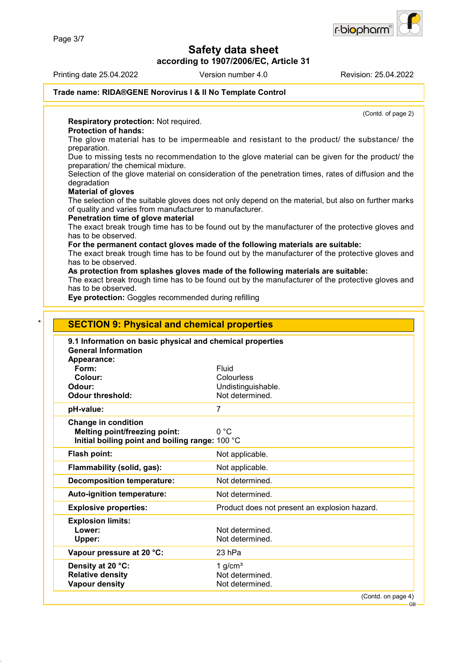**according to 1907/2006/EC, Article 31**

Printing date 25.04.2022 Version number 4.0 Revision: 25.04.2022

# **Trade name: RIDA®GENE Norovirus I & II No Template Control**

(Contd. of page 2)

**Respiratory protection:** Not required.

#### **Protection of hands:**

The glove material has to be impermeable and resistant to the product/ the substance/ the preparation.

Due to missing tests no recommendation to the glove material can be given for the product/ the preparation/ the chemical mixture.

Selection of the glove material on consideration of the penetration times, rates of diffusion and the degradation

#### **Material of gloves**

The selection of the suitable gloves does not only depend on the material, but also on further marks of quality and varies from manufacturer to manufacturer.

#### **Penetration time of glove material**

The exact break trough time has to be found out by the manufacturer of the protective gloves and has to be observed.

**For the permanent contact gloves made of the following materials are suitable:**

The exact break trough time has to be found out by the manufacturer of the protective gloves and has to be observed.

#### **As protection from splashes gloves made of the following materials are suitable:**

The exact break trough time has to be found out by the manufacturer of the protective gloves and has to be observed.

**Eye protection:** Goggles recommended during refilling

| Appearance:<br>Form:<br>Fluid<br>Colour:<br>Colourless<br>Undistinguishable.<br>Odour:<br><b>Odour threshold:</b><br>Not determined.<br>pH-value:<br>7<br><b>Change in condition</b><br><b>Melting point/freezing point:</b><br>0 °C<br>Initial boiling point and boiling range: 100 °C<br><b>Flash point:</b><br>Not applicable.<br>Flammability (solid, gas):<br>Not applicable.<br><b>Decomposition temperature:</b><br>Not determined.<br>Not determined.<br>Auto-ignition temperature:<br><b>Explosive properties:</b><br>Product does not present an explosion hazard.<br><b>Explosion limits:</b><br>Not determined.<br>Lower:<br>Not determined.<br>Upper:<br>Vapour pressure at 20 °C:<br>23 hPa | 9.1 Information on basic physical and chemical properties<br><b>General Information</b> |           |
|-----------------------------------------------------------------------------------------------------------------------------------------------------------------------------------------------------------------------------------------------------------------------------------------------------------------------------------------------------------------------------------------------------------------------------------------------------------------------------------------------------------------------------------------------------------------------------------------------------------------------------------------------------------------------------------------------------------|-----------------------------------------------------------------------------------------|-----------|
|                                                                                                                                                                                                                                                                                                                                                                                                                                                                                                                                                                                                                                                                                                           |                                                                                         |           |
|                                                                                                                                                                                                                                                                                                                                                                                                                                                                                                                                                                                                                                                                                                           |                                                                                         |           |
|                                                                                                                                                                                                                                                                                                                                                                                                                                                                                                                                                                                                                                                                                                           |                                                                                         |           |
|                                                                                                                                                                                                                                                                                                                                                                                                                                                                                                                                                                                                                                                                                                           |                                                                                         |           |
|                                                                                                                                                                                                                                                                                                                                                                                                                                                                                                                                                                                                                                                                                                           |                                                                                         |           |
|                                                                                                                                                                                                                                                                                                                                                                                                                                                                                                                                                                                                                                                                                                           |                                                                                         |           |
|                                                                                                                                                                                                                                                                                                                                                                                                                                                                                                                                                                                                                                                                                                           |                                                                                         |           |
|                                                                                                                                                                                                                                                                                                                                                                                                                                                                                                                                                                                                                                                                                                           |                                                                                         |           |
|                                                                                                                                                                                                                                                                                                                                                                                                                                                                                                                                                                                                                                                                                                           |                                                                                         |           |
|                                                                                                                                                                                                                                                                                                                                                                                                                                                                                                                                                                                                                                                                                                           |                                                                                         |           |
|                                                                                                                                                                                                                                                                                                                                                                                                                                                                                                                                                                                                                                                                                                           |                                                                                         |           |
|                                                                                                                                                                                                                                                                                                                                                                                                                                                                                                                                                                                                                                                                                                           |                                                                                         |           |
|                                                                                                                                                                                                                                                                                                                                                                                                                                                                                                                                                                                                                                                                                                           |                                                                                         |           |
|                                                                                                                                                                                                                                                                                                                                                                                                                                                                                                                                                                                                                                                                                                           |                                                                                         |           |
|                                                                                                                                                                                                                                                                                                                                                                                                                                                                                                                                                                                                                                                                                                           |                                                                                         |           |
|                                                                                                                                                                                                                                                                                                                                                                                                                                                                                                                                                                                                                                                                                                           |                                                                                         |           |
|                                                                                                                                                                                                                                                                                                                                                                                                                                                                                                                                                                                                                                                                                                           |                                                                                         |           |
|                                                                                                                                                                                                                                                                                                                                                                                                                                                                                                                                                                                                                                                                                                           |                                                                                         |           |
|                                                                                                                                                                                                                                                                                                                                                                                                                                                                                                                                                                                                                                                                                                           | Density at 20 °C:                                                                       | 1 $g/cm3$ |
| <b>Relative density</b><br>Not determined.                                                                                                                                                                                                                                                                                                                                                                                                                                                                                                                                                                                                                                                                |                                                                                         |           |

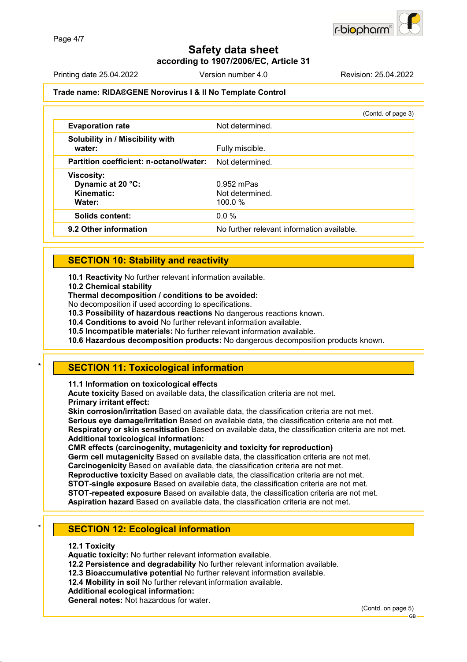**according to 1907/2006/EC, Article 31**

Printing date 25.04.2022 Version number 4.0 Revision: 25.04.2022

#### **Trade name: RIDA®GENE Norovirus I & II No Template Control**

|                                                                | (Contd. of page 3)                         |
|----------------------------------------------------------------|--------------------------------------------|
| <b>Evaporation rate</b>                                        | Not determined.                            |
| Solubility in / Miscibility with<br>water:                     | Fully miscible.                            |
| Partition coefficient: n-octanol/water:                        | Not determined.                            |
| <b>Viscosity:</b><br>Dynamic at 20 °C:<br>Kinematic:<br>Water: | $0.952$ mPas<br>Not determined<br>100.0%   |
| <b>Solids content:</b>                                         | $0.0\%$                                    |
| 9.2 Other information                                          | No further relevant information available. |

### **SECTION 10: Stability and reactivity**

**10.1 Reactivity** No further relevant information available.

**10.2 Chemical stability**

**Thermal decomposition / conditions to be avoided:**

No decomposition if used according to specifications.

**10.3 Possibility of hazardous reactions** No dangerous reactions known.

**10.4 Conditions to avoid** No further relevant information available.

**10.5 Incompatible materials:** No further relevant information available.

**10.6 Hazardous decomposition products:** No dangerous decomposition products known.

### **SECTION 11: Toxicological information**

**11.1 Information on toxicological effects**

**Acute toxicity** Based on available data, the classification criteria are not met. **Primary irritant effect:**

**Skin corrosion/irritation** Based on available data, the classification criteria are not met. **Serious eye damage/irritation** Based on available data, the classification criteria are not met. **Respiratory or skin sensitisation** Based on available data, the classification criteria are not met. **Additional toxicological information:**

**CMR effects (carcinogenity, mutagenicity and toxicity for reproduction)**

**Germ cell mutagenicity** Based on available data, the classification criteria are not met. **Carcinogenicity** Based on available data, the classification criteria are not met.

**Reproductive toxicity** Based on available data, the classification criteria are not met.

**STOT-single exposure** Based on available data, the classification criteria are not met.

**STOT-repeated exposure** Based on available data, the classification criteria are not met.

**Aspiration hazard** Based on available data, the classification criteria are not met.

### **SECTION 12: Ecological information**

#### **12.1 Toxicity**

**Aquatic toxicity:** No further relevant information available.

**12.2 Persistence and degradability** No further relevant information available.

**12.3 Bioaccumulative potential** No further relevant information available.

**12.4 Mobility in soil** No further relevant information available.

**Additional ecological information:**

**General notes:** Not hazardous for water.

(Contd. on page 5)

GB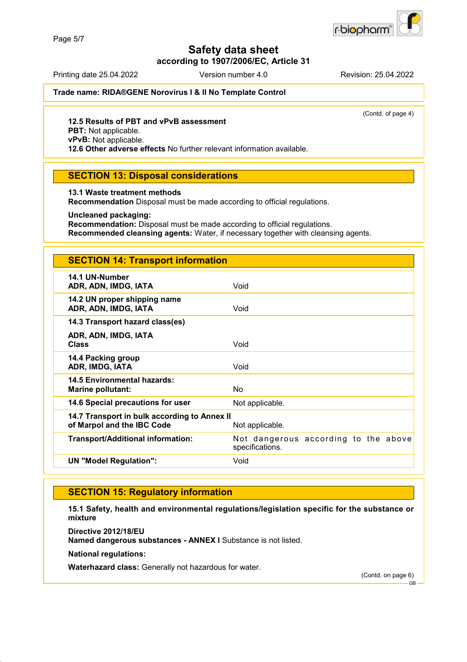

**according to 1907/2006/EC, Article 31**

Printing date 25.04.2022 Version number 4.0 Revision: 25.04.2022

**Trade name: RIDA®GENE Norovirus I & II No Template Control**

(Contd. of page 4)

#### **12.5 Results of PBT and vPvB assessment**

**PBT:** Not applicable.

**vPvB:** Not applicable.

**12.6 Other adverse effects** No further relevant information available.

### **SECTION 13: Disposal considerations**

#### **13.1 Waste treatment methods**

**Recommendation** Disposal must be made according to official regulations.

#### **Uncleaned packaging:**

**Recommendation:** Disposal must be made according to official regulations. **Recommended cleansing agents:** Water, if necessary together with cleansing agents.

| <b>SECTION 14: Transport information</b>                                   |                                                         |
|----------------------------------------------------------------------------|---------------------------------------------------------|
| 14.1 UN-Number<br>ADR, ADN, IMDG, IATA                                     | Void                                                    |
| 14.2 UN proper shipping name<br>ADR, ADN, IMDG, IATA                       | Void                                                    |
| 14.3 Transport hazard class(es)                                            |                                                         |
| ADR, ADN, IMDG, IATA<br><b>Class</b>                                       | Void                                                    |
| 14.4 Packing group<br>ADR, IMDG, IATA                                      | Void                                                    |
| <b>14.5 Environmental hazards:</b><br><b>Marine pollutant:</b>             | N <sub>o</sub>                                          |
| 14.6 Special precautions for user                                          | Not applicable.                                         |
| 14.7 Transport in bulk according to Annex II<br>of Marpol and the IBC Code | Not applicable.                                         |
| <b>Transport/Additional information:</b>                                   | Not dangerous according to the above<br>specifications. |
| <b>UN "Model Regulation":</b>                                              | Void                                                    |

### **SECTION 15: Regulatory information**

**15.1 Safety, health and environmental regulations/legislation specific for the substance or mixture**

**Directive 2012/18/EU**

**Named dangerous substances - ANNEX I** Substance is not listed.

**National regulations:**

**Waterhazard class:** Generally not hazardous for water.

(Contd. on page 6)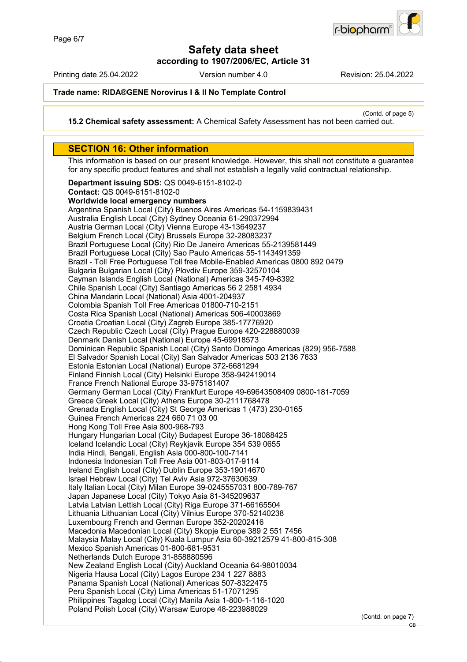

**according to 1907/2006/EC, Article 31**

Printing date 25.04.2022 Version number 4.0 Revision: 25.04.2022

**Trade name: RIDA®GENE Norovirus I & II No Template Control**

(Contd. of page 5)

**15.2 Chemical safety assessment:** A Chemical Safety Assessment has not been carried out.

### **SECTION 16: Other information**

This information is based on our present knowledge. However, this shall not constitute a guarantee for any specific product features and shall not establish a legally valid contractual relationship.

**Department issuing SDS:** QS 0049-6151-8102-0 **Contact:** QS 0049-6151-8102-0 **Worldwide local emergency numbers** Argentina Spanish Local (City) Buenos Aires Americas 54-1159839431 Australia English Local (City) Sydney Oceania 61-290372994 Austria German Local (City) Vienna Europe 43-13649237 Belgium French Local (City) Brussels Europe 32-28083237 Brazil Portuguese Local (City) Rio De Janeiro Americas 55-2139581449 Brazil Portuguese Local (City) Sao Paulo Americas 55-1143491359 Brazil - Toll Free Portuguese Toll free Mobile-Enabled Americas 0800 892 0479 Bulgaria Bulgarian Local (City) Plovdiv Europe 359-32570104 Cayman Islands English Local (National) Americas 345-749-8392 Chile Spanish Local (City) Santiago Americas 56 2 2581 4934 China Mandarin Local (National) Asia 4001-204937 Colombia Spanish Toll Free Americas 01800-710-2151 Costa Rica Spanish Local (National) Americas 506-40003869 Croatia Croatian Local (City) Zagreb Europe 385-17776920 Czech Republic Czech Local (City) Prague Europe 420-228880039 Denmark Danish Local (National) Europe 45-69918573 Dominican Republic Spanish Local (City) Santo Domingo Americas (829) 956-7588 El Salvador Spanish Local (City) San Salvador Americas 503 2136 7633 Estonia Estonian Local (National) Europe 372-6681294 Finland Finnish Local (City) Helsinki Europe 358-942419014 France French National Europe 33-975181407 Germany German Local (City) Frankfurt Europe 49-69643508409 0800-181-7059 Greece Greek Local (City) Athens Europe 30-2111768478 Grenada English Local (City) St George Americas 1 (473) 230-0165 Guinea French Americas 224 660 71 03 00 Hong Kong Toll Free Asia 800-968-793 Hungary Hungarian Local (City) Budapest Europe 36-18088425 Iceland Icelandic Local (City) Reykjavik Europe 354 539 0655 India Hindi, Bengali, English Asia 000-800-100-7141 Indonesia Indonesian Toll Free Asia 001-803-017-9114 Ireland English Local (City) Dublin Europe 353-19014670 Israel Hebrew Local (City) Tel Aviv Asia 972-37630639 Italy Italian Local (City) Milan Europe 39-0245557031 800-789-767 Japan Japanese Local (City) Tokyo Asia 81-345209637 Latvia Latvian Lettish Local (City) Riga Europe 371-66165504 Lithuania Lithuanian Local (City) Vilnius Europe 370-52140238 Luxembourg French and German Europe 352-20202416 Macedonia Macedonian Local (City) Skopje Europe 389 2 551 7456 Malaysia Malay Local (City) Kuala Lumpur Asia 60-39212579 41-800-815-308 Mexico Spanish Americas 01-800-681-9531 Netherlands Dutch Europe 31-858880596 New Zealand English Local (City) Auckland Oceania 64-98010034 Nigeria Hausa Local (City) Lagos Europe 234 1 227 8883 Panama Spanish Local (National) Americas 507-8322475 Peru Spanish Local (City) Lima Americas 51-17071295 Philippines Tagalog Local (City) Manila Asia 1-800-1-116-1020 Poland Polish Local (City) Warsaw Europe 48-223988029